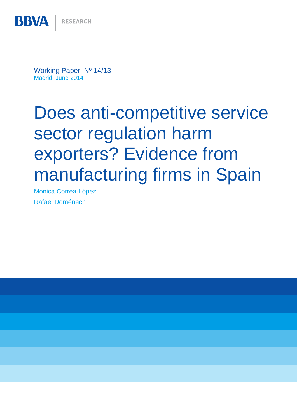**BBVA** 

Working Paper, Nº 14/13 Madrid, June 2014

# Does anti-competitive service sector regulation harm exporters? Evidence from manufacturing firms in Spain

Mónica Correa-López Rafael Doménech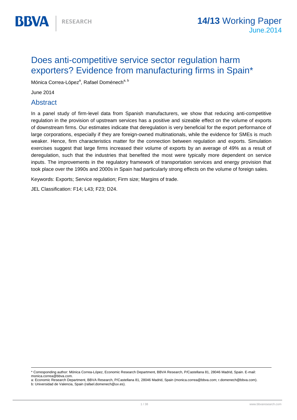# Does anti-competitive service sector regulation harm exporters? Evidence from manufacturing firms in Spain\*

Mónica Correa-López<sup>a</sup>, Rafael Doménech<sup>a, b</sup>

June 2014

**BBVA** 

# Abstract

In a panel study of firm-level data from Spanish manufacturers, we show that reducing anti-competitive regulation in the provision of upstream services has a positive and sizeable effect on the volume of exports of downstream firms. Our estimates indicate that deregulation is very beneficial for the export performance of large corporations, especially if they are foreign-owned multinationals, while the evidence for SMEs is much weaker. Hence, firm characteristics matter for the connection between regulation and exports. Simulation exercises suggest that large firms increased their volume of exports by an average of 49% as a result of deregulation, such that the industries that benefited the most were typically more dependent on service inputs. The improvements in the regulatory framework of transportation services and energy provision that took place over the 1990s and 2000s in Spain had particularly strong effects on the volume of foreign sales.

Keywords: Exports; Service regulation; Firm size; Margins of trade.

JEL Classification: F14; L43; F23; D24.

<sup>\*</sup> Corresponding author: Mónica Correa-López, Economic Research Department, BBVA Research, P/Castellana 81, 28046 Madrid, Spain. E-mail: monica.correa@bbva.com.

a: Economic Research Department, BBVA Research, P/Castellana 81, 28046 Madrid, Spain (monica.correa@bbva.com; r.domenech@bbva.com).

b: Universidad de Valencia, Spain (rafael.domenech@uv.es).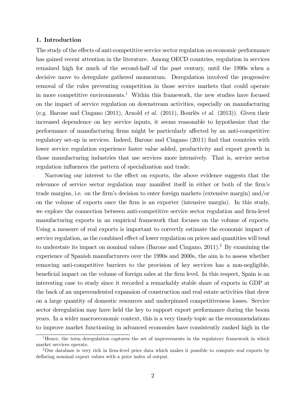# 1. Introduction

The study of the effects of anti-competitive service sector regulation on economic performance has gained recent attention in the literature. Among OECD countries, regulation in services remained high for much of the second-half of the past century, until the 1990s when a decisive move to deregulate gathered momentum. Deregulation involved the progressive removal of the rules preventing competition in those service markets that could operate in more competitive environments.<sup>1</sup> Within this framework, the new studies have focused on the impact of service regulation on downstream activities, especially on manufacturing (e.g. Barone and Cingano (2011), Arnold et al. (2011), Bourlès et al. (2013)). Given their increased dependence on key service inputs, it seems reasonable to hypothesize that the performance of manufacturing firms might be particularly affected by an anti-competitive regulatory set-up in services. Indeed, Barone and Cingano (2011) find that countries with lower service regulation experience faster value added, productivity and export growth in those manufacturing industries that use services more intensively. That is, service sector regulation influences the pattern of specialization and trade.

Narrowing our interest to the effect on exports, the above evidence suggests that the relevance of service sector regulation may manifest itself in either or both of the firm's trade margins, i.e. on the firm's decision to enter foreign markets (extensive margin) and/or on the volume of exports once the firm is an exporter (intensive margin). In this study, we explore the connection between anti-competitive service sector regulation and firm-level manufacturing exports in an empirical framework that focuses on the volume of exports. Using a measure of real exports is important to correctly estimate the economic impact of service regulation, as the combined effect of lower regulation on prices and quantities will tend to understate its impact on nominal values (Barone and Cingano, 2011).2 By examining the experience of Spanish manufacturers over the 1990s and 2000s, the aim is to assess whether removing anti-competitive barriers to the provision of key services has a non-negligible, beneficial impact on the volume of foreign sales at the firm level. In this respect, Spain is an interesting case to study since it recorded a remarkably stable share of exports in GDP at the back of an unprecendented expansion of construction and real estate activities that drew on a large quantity of domestic resources and underpinned competitiveness losses. Service sector deregulation may have held the key to support export performance during the boom years. In a wider macroeconomic context, this is a very timely topic as the recommendations to improve market functioning in advanced economies have consistently ranked high in the

<sup>&</sup>lt;sup>1</sup>Hence, the term deregulation captures the set of improvements in the regulatory framework in which market services operate.

<sup>2</sup>Our database is very rich in firm-level price data which makes it possible to compute real exports by deflating nominal export values with a price index of output.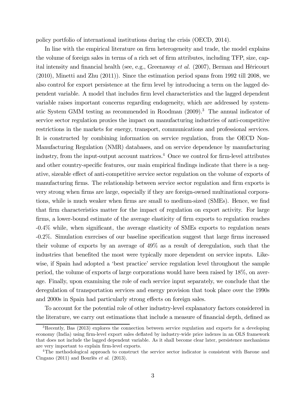policy portfolio of international institutions during the crisis (OECD, 2014).

In line with the empirical literature on firm heterogeneity and trade, the model explains the volume of foreign sales in terms of a rich set of firm attributes, including TFP, size, capital intensity and financial health (see, e.g., Greenaway et al. (2007), Berman and Héricourt (2010), Minetti and Zhu (2011)). Since the estimation period spans from 1992 till 2008, we also control for export persistence at the firm level by introducing a term on the lagged dependent variable. A model that includes firm level characteristics and the lagged dependent variable raises important concerns regarding endogeneity, which are addressed by systematic System GMM testing as recommended in Roodman (2009).3 The annual indicator of service sector regulation proxies the impact on manufacturing industries of anti-competitive restrictions in the markets for energy, transport, communications and professional services. It is constructed by combining information on service regulation, from the OECD Non-Manufacturing Regulation (NMR) databases, and on service dependence by manufacturing industry, from the input-output account matrices.<sup>4</sup> Once we control for firm-level attributes and other country-specific features, our main empirical findings indicate that there is a negative, sizeable effect of anti-competitive service sector regulation on the volume of exports of manufacturing firms. The relationship between service sector regulation and firm exports is very strong when firms are large, especially if they are foreign-owned multinational corporations, while is much weaker when firms are small to medium-sized (SMEs). Hence, we find that firm characteristics matter for the impact of regulation on export activity. For large firms, a lower-bound estimate of the average elasticity of firm exports to regulation reaches -0.4% while, when significant, the average elasticity of SMEs exports to regulation nears -0.2%. Simulation exercises of our baseline specification suggest that large firms increased their volume of exports by an average of 49% as a result of deregulation, such that the industries that benefited the most were typically more dependent on service inputs. Likewise, if Spain had adopted a 'best practice' service regulation level throughout the sample period, the volume of exports of large corporations would have been raised by 18%, on average. Finally, upon examining the role of each service input separately, we conclude that the deregulation of transportation services and energy provision that took place over the 1990s and 2000s in Spain had particularly strong effects on foreign sales.

To account for the potential role of other industry-level explanatory factors considered in the literature, we carry out estimations that include a measure of financial depth, defined as

<sup>&</sup>lt;sup>3</sup>Recently, Bas (2013) explores the connection between service regulation and exports for a developing economy (India) using firm-level export sales deflated by industry-wide price indexes in an OLS framework that does not include the lagged dependent variable. As it shall become clear later, persistence mechanisms are very important to explain firm-level exports.

<sup>&</sup>lt;sup>4</sup>The methodological approach to construct the service sector indicator is consistent with Barone and Cingano (2011) and Bourlès et al. (2013).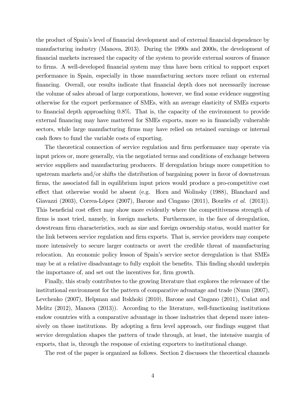the product of Spain's level of financial development and of external financial dependence by manufacturing industry (Manova, 2013). During the 1990s and 2000s, the development of financial markets increased the capacity of the system to provide external sources of finance to firms. A well-developed financial system may thus have been critical to support export performance in Spain, especially in those manufacturing sectors more reliant on external financing. Overall, our results indicate that financial depth does not necessarily increase the volume of sales abroad of large corporations, however, we find some evidence suggesting otherwise for the export performance of SMEs, with an average elasticity of SMEs exports to financial depth approaching 0.8%. That is, the capacity of the environment to provide external financing may have mattered for SMEs exports, more so in financially vulnerable sectors, while large manufacturing firms may have relied on retained earnings or internal cash flows to fund the variable costs of exporting.

The theoretical connection of service regulation and firm performance may operate via input prices or, more generally, via the negotiated terms and conditions of exchange between service suppliers and manufacturing producers. If deregulation brings more competition to upstream markets and/or shifts the distribution of bargaining power in favor of downstream firms, the associated fall in equilibrium input prices would produce a pro-competitive cost effect that otherwise would be absent (e.g. Horn and Wolinsky (1988), Blanchard and Giavazzi (2003), Correa-López (2007), Barone and Cingano (2011), Bourlès et al. (2013)). This beneficial cost effect may show more evidently where the competitiveness strength of firms is most tried, namely, in foreign markets. Furthermore, in the face of deregulation, dowstream firm characteristics, such as size and foreign ownership status, would matter for the link between service regulation and firm exports. That is, service providers may compete more intensively to secure larger contracts or avert the credible threat of manufacturing relocation. An economic policy lesson of Spain's service sector deregulation is that SMEs may be at a relative disadvantage to fully exploit the benefits. This finding should underpin the importance of, and set out the incentives for, firm growth.

Finally, this study contributes to the growing literature that explores the relevance of the institutional environment for the pattern of comparative advantage and trade (Nunn (2007), Levchenko (2007), Helpman and Itskhoki (2010), Barone and Cingano (2011), Cuñat and Melitz (2012), Manova (2013)). According to the literature, well-functioning institutions endow countries with a comparative advantage in those industries that depend more intensively on those institutions. By adopting a firm level approach, our findings suggest that service deregulation shapes the pattern of trade through, at least, the intensive margin of exports, that is, through the response of existing exporters to institutional change.

The rest of the paper is organized as follows. Section 2 discusses the theoretical channels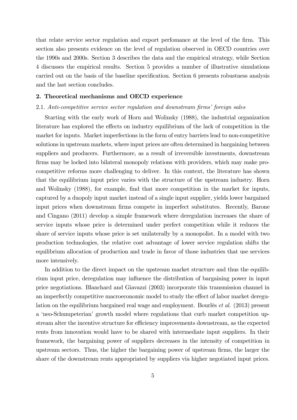that relate service sector regulation and export perfomance at the level of the firm. This section also presents evidence on the level of regulation observed in OECD countries over the 1990s and 2000s. Section 3 describes the data and the empirical strategy, while Section 4 discusses the empirical results. Section 5 provides a number of illustrative simulations carried out on the basis of the baseline specification. Section 6 presents robustness analysis and the last section concludes.

# 2. Theoretical mechanisms and OECD experience

## 2.1. Anti-competitive service sector regulation and downstream firms' foreign sales

Starting with the early work of Horn and Wolinsky (1988), the industrial organization literature has explored the effects on industry equilibrium of the lack of competition in the market for inputs. Market imperfections in the form of entry barriers lead to non-competitive solutions in upstream markets, where input prices are often determined in bargaining between suppliers and producers. Furthermore, as a result of irreversible investments, downstream firms may be locked into bilateral monopoly relations with providers, which may make procompetitive reforms more challenging to deliver. In this context, the literature has shown that the equilibrium input price varies with the structure of the upstream industry. Horn and Wolinsky (1988), for example, find that more competition in the market for inputs, captured by a duopoly input market instead of a single input supplier, yields lower bargained input prices when downstream firms compete in imperfect substitutes. Recently, Barone and Cingano (2011) develop a simple framework where deregulation increases the share of service inputs whose price is determined under perfect competition while it reduces the share of service inputs whose price is set unilaterally by a monopolist. In a model with two production technologies, the relative cost advantage of lower service regulation shifts the equilibrium allocation of production and trade in favor of those industries that use services more intensively.

In addition to the direct impact on the upstream market structure and thus the equilibrium input price, deregulation may influence the distribution of bargaining power in input price negotiations. Blanchard and Giavazzi (2003) incorporate this transmission channel in an imperfectly competitive macroeconomic model to study the effect of labor market deregulation on the equilibrium bargained real wage and employment. Bourlès et al. (2013) present a 'neo-Schumpeterian' growth model where regulations that curb market competition upstream alter the incentive structure for efficiency improvements downstream, as the expected rents from innovation would have to be shared with intermediate input suppliers. In their framework, the bargaining power of suppliers decreases in the intensity of competition in upstream sectors. Thus, the higher the bargaining power of upstream firms, the larger the share of the downstream rents appropriated by suppliers via higher negotiated input prices.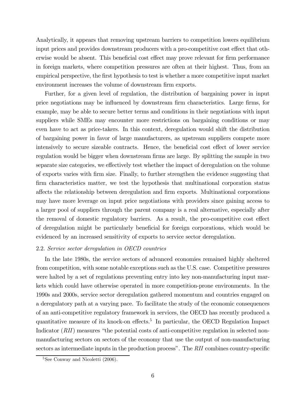Analytically, it appears that removing upstream barriers to competition lowers equilibrium input prices and provides downstream producers with a pro-competitive cost effect that otherwise would be absent. This beneficial cost effect may prove relevant for firm performance in foreign markets, where competition pressures are often at their highest. Thus, from an empirical perspective, the first hypothesis to test is whether a more competitive input market environment increases the volume of downstream firm exports.

Further, for a given level of regulation, the distribution of bargaining power in input price negotiations may be influenced by downstream firm characteristics. Large firms, for example, may be able to secure better terms and conditions in their negotiations with input suppliers while SMEs may encounter more restrictions on bargaining conditions or may even have to act as price-takers. In this context, deregulation would shift the distribution of bargaining power in favor of large manufacturers, as upstream suppliers compete more intensively to secure sizeable contracts. Hence, the beneficial cost effect of lower service regulation would be bigger when downstream firms are large. By splitting the sample in two separate size categories, we effectively test whether the impact of deregulation on the volume of exports varies with firm size. Finally, to further strengthen the evidence suggesting that firm characteristics matter, we test the hypothesis that multinational corporation status affects the relationship between deregulation and firm exports. Multinational corporations may have more leverage on input price negotiations with providers since gaining access to a larger pool of suppliers through the parent company is a real alternative, especially after the removal of domestic regulatory barriers. As a result, the pro-competitive cost effect of deregulation might be particularly beneficial for foreign corporations, which would be evidenced by an increased sensitivity of exports to service sector deregulation.

#### 2.2. Service sector deregulation in OECD countries

In the late 1980s, the service sectors of advanced economies remained highly sheltered from competition, with some notable exceptions such as the U.S. case. Competitive pressures were halted by a set of regulations preventing entry into key non-manufacturing input markets which could have otherwise operated in more competition-prone environments. In the 1990s and 2000s, service sector deregulation gathered momentum and countries engaged on a deregulatory path at a varying pace. To facilitate the study of the economic consequences of an anti-competitive regulatory framework in services, the OECD has recently produced a quantitative measure of its knock-on effects.5 In particular, the OECD Regulation Impact Indicator (RII) measures "the potential costs of anti-competitive regulation in selected nonmanufacturing sectors on sectors of the economy that use the output of non-manufacturing sectors as intermediate inputs in the production process". The RII combines country-specific

 ${}^{5}$ See Conway and Nicoletti (2006).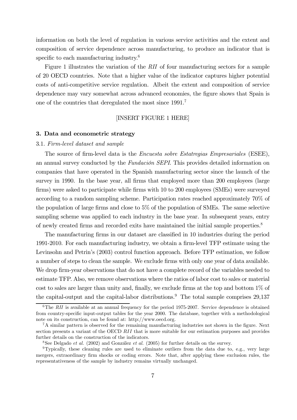information on both the level of regulation in various service activities and the extent and composition of service dependence across manufacturing, to produce an indicator that is specific to each manufacturing industry.<sup>6</sup>

Figure 1 illustrates the variation of the RII of four manufacturing sectors for a sample of 20 OECD countries. Note that a higher value of the indicator captures higher potential costs of anti-competitive service regulation. Albeit the extent and composition of service dependence may vary somewhat across advanced economies, the figure shows that Spain is one of the countries that deregulated the most since 1991.7

# [INSERT FIGURE 1 HERE]

# 3. Data and econometric strategy

#### 3.1. Firm-level dataset and sample

The source of firm-level data is the Encuesta sobre Estatregias Empresariales (ESEE), an annual survey conducted by the Fundación SEPI. This provides detailed information on companies that have operated in the Spanish manufacturing sector since the launch of the survey in 1990. In the base year, all firms that employed more than 200 employees (large firms) were asked to participate while firms with 10 to 200 employees (SMEs) were surveyed according to a random sampling scheme. Participation rates reached approximately 70% of the population of large firms and close to 5% of the population of SMEs. The same selective sampling scheme was applied to each industry in the base year. In subsequent years, entry of newly created firms and recorded exits have maintained the initial sample properties.8

The manufacturing firms in our dataset are classified in 10 industries during the period 1991-2010. For each manufacturing industry, we obtain a firm-level TFP estimate using the Levinsohn and Petrin's (2003) control function approach. Before TFP estimation, we follow a number of steps to clean the sample. We exclude firms with only one year of data available. We drop firm-year observations that do not have a complete record of the variables needed to estimate TFP. Also, we remove observations where the ratios of labor cost to sales or material cost to sales are larger than unity and, finally, we exclude firms at the top and bottom  $1\%$  of the capital-output and the capital-labor distributions.<sup>9</sup> The total sample comprises  $29,137$ 

<sup>&</sup>lt;sup>6</sup>The RII is available at an annual frequency for the period 1975-2007. Service dependence is obtained from country-specific input-output tables for the year 2000. The database, together with a methodological note on its construction, can be found at: http://www.oecd.org.

<sup>7</sup>A similar pattern is observed for the remaining manufacturing industries not shown in the figure. Next section presents a variant of the OECD  $RII$  that is more suitable for our estimation purposes and provides further details on the construction of the indicators.

<sup>&</sup>lt;sup>8</sup>See Delgado *et al.* (2002) and González *et al.* (2005) for further details on the survey.

<sup>&</sup>lt;sup>9</sup>Typically, these cleaning rules are used to eliminate outliers from the data due to, e.g., very large mergers, extraordinary firm shocks or coding errors. Note that, after applying these exclusion rules, the representativeness of the sample by industry remains virtually unchanged.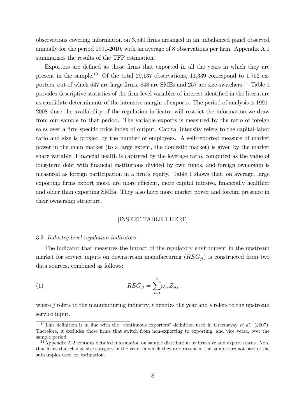observations covering information on 3,540 firms arranged in an unbalanced panel observed annually for the period 1991-2010, with an average of 8 observations per firm. Appendix A.1 summarizes the results of the TFP estimation.

Exporters are defined as those firms that exported in all the years in which they are present in the sample.<sup>10</sup> Of the total 29,137 observations, 11,339 correspond to 1,752 exporters, out of which 647 are large firms, 848 are SMEs and 257 are size-switchers.<sup>11</sup> Table 1 provides descriptive statistics of the firm-level variables of interest identified in the literature as candidate determinants of the intensive margin of exports. The period of analysis is 1991- 2008 since the availability of the regulation indicator will restrict the information we draw from our sample to that period. The variable exports is measured by the ratio of foreign sales over a firm-specific price index of output. Capital intensity refers to the capital-labor ratio and size is proxied by the number of employees. A self-reported measure of market power in the main market (to a large extent, the domestic market) is given by the market share variable. Financial health is captured by the leverage ratio, computed as the value of long-term debt with financial institutions divided by own funds, and foreign ownership is measured as foreign participation in a firm's equity. Table 1 shows that, on average, large exporting firms export more, are more efficient, more capital intesive, financially healthier and older than exporting SMEs. They also have more market power and foreign presence in their ownership structure.

### [INSERT TABLE 1 HERE]

#### 3.2. Industry-level regulation indicators

The indicator that measures the impact of the regulatory environment in the upstream market for service inputs on downstream manufacturing  $(REG_{it})$  is constructed from two data sources, combined as follows:

(1) 
$$
REG_{jt} = \sum_{s=1}^{4} \omega_{js} Z_{st},
$$

where  $\dot{\gamma}$  refers to the manufacturing industry,  $t$  denotes the year and  $\dot{s}$  refers to the upstream service input.

<sup>&</sup>lt;sup>10</sup>This definition is in line with the "continuous exporters" definition used in Greenaway et al. (2007). Therefore, it excludes those firms that switch from non-exporting to exporting, and vice versa, over the sample period.

<sup>&</sup>lt;sup>11</sup>Appendix A.2 contains detailed information on sample distribution by firm size and export status. Note that firms that change size category in the years in which they are present in the sample are not part of the subsamples used for estimation.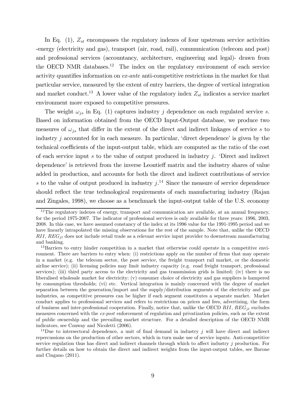In Eq. (1),  $Z_{st}$  encompasses the regulatory indexes of four upstream service activities -energy (electricity and gas), transport (air, road, rail), communication (telecom and post) and professional services (accountancy, architecture, engineering and legal)- drawn from the OECD NMR databases.12 The index on the regulatory environment of each service activity quantifies information on ex-ante anti-competitive restrictions in the market for that particular service, measured by the extent of entry barriers, the degree of vertical integration and market conduct.<sup>13</sup> A lower value of the regulatory index  $Z_{st}$  indicates a service market environment more exposed to competitive pressures.

The weight  $\omega_{is}$  in Eq. (1) captures industry *j* dependence on each regulated service *s*. Based on information obtained from the OECD Input-Output database, we produce two measures of  $\omega_{is}$  that differ in the extent of the direct and indirect linkages of service s to industry  $j$  accounted for in each measure. In particular, 'direct dependence' is given by the technical coefficients of the input-output table, which are computed as the ratio of the cost of each service input  $s$  to the value of output produced in industry  $j$ . 'Direct and indirect dependence' is retrieved from the inverse Leontieff matrix and the industry shares of value added in production, and accounts for both the direct and indirect contributions of service s to the value of output produced in industry  $j^{14}$ . Since the measure of service dependence should reflect the true technological requirements of each manufacturing industry (Rajan and Zingales, 1998), we choose as a benchmark the input-output table of the U.S. economy

<sup>&</sup>lt;sup>12</sup>The regulatory indexes of energy, transport and communication are available, at an annual frequency, for the period 1975-2007. The indicator of professional services is only available for three years: 1996, 2003, 2008. In this case, we have assumed constancy of the index at its 1996 value for the 1991-1995 period and we have linearly intrapolated the missing observations for the rest of the sample. Note that, unlike the OECD  $RII, REG_{it}$  does not include retail trade as a relevant service input provider to downstream manufacturing and banking.

<sup>&</sup>lt;sup>13</sup>Barriers to entry hinder competition in a market that otherwise could operate in a competitive environment. There are barriers to entry when: (i) restrictions apply on the number of firms that may operate in a market (e.g. the telecom sector, the post service, the freight transport rail market, or the domestic airline service); (ii) licensing policies may limit industry capacity (e.g. road freight transport, professional services); (iii) third party access to the electricity and gas transmission grids is limited; (iv) there is no liberalised wholesale market for electricity; (v) consumer choice of electricity and gas suppliers is hampered by consumption thresholds; (vi) etc. Vertical integration is mainly concerned with the degree of market separation between the generation/import and the supply/distribution segments of the electricity and gas industries, as competitive pressures can be higher if each segment constitutes a separate market. Market conduct applies to professional services and refers to restrictions on prices and fees, advertising, the form of business and inter-professional cooperation. Finally, notice that, unlike the OECD  $RII$ ,  $REG_{it}$  excludes measures concerned with the ex-post enforcement of regulation and privatization policies, such as the extent of public ownership and the prevailing market structure. For a detailed description of the OECD NMR indicators, see Conway and Nicoletti (2006).

<sup>&</sup>lt;sup>14</sup>Due to intersectoral dependence, a unit of final demand in industry j will have direct and indirect repercussions on the production of other sectors, which in turn make use of service inputs. Anti-competitive service regulation thus has direct and indirect channels through which to affect industry j production. For further details on how to obtain the direct and indirect weights from the input-output tables, see Barone and Cingano (2011).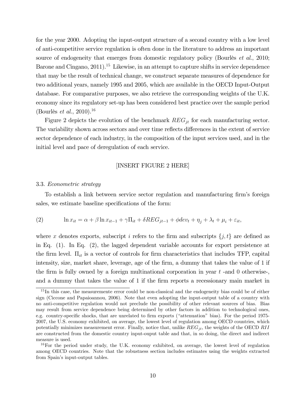for the year 2000. Adopting the input-output structure of a second country with a low level of anti-competitive service regulation is often done in the literature to address an important source of endogeneity that emerges from domestic regulatory policy (Bourlès *et al.*, 2010; Barone and Cingano, 2011).<sup>15</sup> Likewise, in an attempt to capture shifts in service dependence that may be the result of technical change, we construct separate measures of dependence for two additional years, namely 1995 and 2005, which are available in the OECD Input-Output database. For comparative purposes, we also retrieve the corresponding weights of the U.K. economy since its regulatory set-up has been considered best practice over the sample period (Bourlès *et al.*, 2010).<sup>16</sup>

Figure 2 depicts the evolution of the benchmark  $REG_{it}$  for each manufacturing sector. The variability shown across sectors and over time reflects differences in the extent of service sector dependence of each industry, in the composition of the input services used, and in the initial level and pace of deregulation of each service.

#### [INSERT FIGURE 2 HERE]

#### 3.3. Econometric strategy

To establish a link between service sector regulation and manufacturing firm's foreign sales, we estimate baseline specifications of the form:

(2) 
$$
\ln x_{it} = \alpha + \beta \ln x_{it-1} + \gamma \Pi_{it} + \delta REG_{jt-1} + \phi dev_t + \eta_j + \lambda_t + \mu_i + \varepsilon_{it},
$$

where x denotes exports, subscript i refers to the firm and subscripts  $\{j, t\}$  are defined as in Eq. (1). In Eq. (2), the lagged dependent variable accounts for export persistence at the firm level.  $\Pi_{it}$  is a vector of controls for firm characteristics that includes TFP, capital intensity, size, market share, leverage, age of the firm, a dummy that takes the value of 1 if the firm is fully owned by a foreign multinational corporation in year  $t$  -and 0 otherwise-, and a dummy that takes the value of 1 if the firm reports a recessionary main market in

<sup>&</sup>lt;sup>15</sup>In this case, the measuremente error could be non-classical and the endogeneity bias could be of either sign (Ciccone and Papaioannou, 2006). Note that even adopting the input-output table of a country with no anti-competitive regulation would not preclude the possibility of other relevant sources of bias. Bias may result from service dependence being determined by other factors in addition to technological ones, e.g. country-specific shocks, that are unrelated to firm exports ("attenuation" bias). For the period 1975- 2007, the U.S. economy exhibited, on average, the lowest level of regulation among OECD countries, which potentially minimizes measurement error. Finally, notice that, unlike  $REG_{it}$ , the weights of the OECD RII are constructed from the domestic country input-ouput table and that, in so doing, the direct and indirect measure is used.

 $16$ For the period under study, the U.K. economy exhibited, on average, the lowest level of regulation among OECD countries. Note that the robustness section includes estimates using the weights extracted from Spain's input-output tables.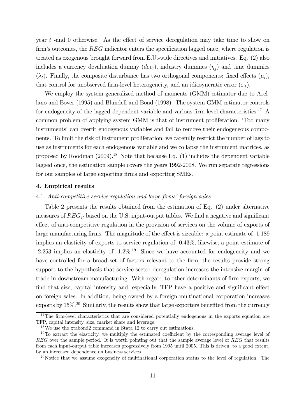year  $t$  -and 0 otherwise. As the effect of service deregulation may take time to show on firm's outcomes, the  $REG$  indicator enters the specification lagged once, where regulation is treated as exogenous brought forward from E.U.-wide directives and initiatives. Eq. (2) also includes a currency devaluation dummy  $(dev_t)$ , industry dummies  $(\eta_i)$  and time dummies  $(\lambda_t)$ . Finally, the composite disturbance has two orthogonal components: fixed effects  $(\mu_i)$ , that control for unobserved firm-level heterogeneity, and an idiosyncratic error  $(\varepsilon_{it})$ .

We employ the system generalized method of moments (GMM) estimator due to Arellano and Bover (1995) and Blundell and Bond (1998). The system GMM estimator controls for endogeneity of the lagged dependent variable and various firm-level characteristics.<sup>17</sup> A common problem of applying system GMM is that of instrument proliferation. 'Too many instruments' can overfit endogenous variables and fail to remove their endogeneous components. To limit the risk of instrument proliferation, we carefully restrict the number of lags to use as instruments for each endogenous variable and we collapse the instrument matrices, as proposed by Roodman  $(2009)$ <sup>18</sup> Note that because Eq.  $(1)$  includes the dependent variable lagged once, the estimation sample covers the years 1992-2008. We run separate regressions for our samples of large exporting firms and exporting SMEs.

#### 4. Empirical results

#### 4.1. Anti-competitive service regulation and large firms' foreign sales

Table 2 presents the results obtained from the estimation of Eq. (2) under alternative measures of  $REG_{jt}$  based on the U.S. input-output tables. We find a negative and significant effect of anti-competitive regulation in the provision of services on the volume of exports of large manufacturing firms. The magnitude of the effect is sizeable: a point estimate of -1.189 implies an elasticity of exports to service regulation of -0.43%, likewise, a point estimate of  $-2.253$  implies an elasticity of  $-1.2\%$ .<sup>19</sup> Since we have accounted for endogeneity and we have controlled for a broad set of factors relevant to the firm, the results provide strong support to the hypothesis that service sector deregulation increases the intensive margin of trade in downstream manufacturing. With regard to other determinants of firm exports, we find that size, capital intensity and, especially, TFP have a positive and significant effect on foreign sales. In addition, being owned by a foreign multinational corporation increases exports by 15%.20 Similarly, the results show that large exporters benefited from the currency

<sup>&</sup>lt;sup>17</sup>The firm-level characteristics that are considered potentially endogenous in the exports equation are TFP, capital intensity, size, market share and leverage.

<sup>18</sup>We use the xtabond2 command in Stata 12 to carry out estimations.

 $19$ To extract the elasticity, we multiply the estimated coefficient by the corresponding average level of  $REG$  over the sample period. It is worth pointing out that the sample average level of  $REG$  that results from each input-output table increases progressively from 1995 until 2005. This is driven, to a good extent, by an increased dependence on business services.

 $^{20}$ Notice that we assume exogeneity of multinational corporation status to the level of regulation. The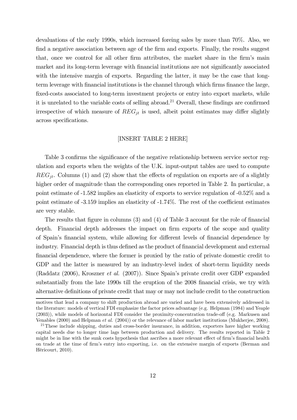devaluations of the early 1990s, which increased foreing sales by more than 70%. Also, we find a negative association between age of the firm and exports. Finally, the results suggest that, once we control for all other firm attributes, the market share in the firm's main market and its long-term leverage with financial institutions are not significantly associated with the intensive margin of exports. Regarding the latter, it may be the case that longterm leverage with financial institutions is the channel through which firms finance the large, fixed-costs associated to long-term investment projects or entry into export markets, while it is unrelated to the variable costs of selling abroad.21 Overall, these findings are confirmed irrespective of which measure of  $REG_{it}$  is used, albeit point estimates may differ slightly across specifications.

# [INSERT TABLE 2 HERE]

Table 3 confirms the significance of the negative relationship between service sector regulation and exports when the weights of the U.K. input-output tables are used to compute  $REG_{it}$ . Columns (1) and (2) show that the effects of regulation on exports are of a slightly higher order of magnitude than the corresponding ones reported in Table 2. In particular, a point estimate of -1.582 implies an elasticity of exports to service regulation of -0.52% and a point estimate of -3.159 implies an elasticity of -1.74%. The rest of the coefficient estimates are very stable.

The results that figure in columns (3) and (4) of Table 3 account for the role of financial depth. Financial depth addresses the impact on firm exports of the scope and quality of Spain's financial system, while allowing for different levels of financial dependence by industry. Financial depth is thus defined as the product of financial development and external financial dependence, where the former is proxied by the ratio of private domestic credit to GDP and the latter is measured by an industry-level index of short-term liquidity needs (Raddatz (2006), Kroszner et al. (2007)). Since Spain's private credit over GDP expanded substantially from the late 1990s till the eruption of the 2008 financial crisis, we try with alternative definitions of private credit that may or may not include credit to the construction

motives that lead a company to shift production abroad are varied and have been extensively addressed in the literature: models of vertical FDI emphasize the factor prices advantage (e.g. Helpman (1984) and Yeaple (2003)), while models of horizontal FDI consider the proximity-concentration trade-off (e.g. Markusen and Venables (2000) and Helpman et al. (2004)) or the relevance of labor market institutions (Mukherjee, 2008).

 $^{21}$ These include shipping, duties and cross-border insurance, in addition, exporters have higher working capital needs due to longer time lags between production and delivery. The results reported in Table 2 might be in line with the sunk costs hypothesis that ascribes a more relevant effect of firm's financial health on trade at the time of firm's entry into exporting, i.e. on the extensive margin of exports (Berman and Héricourt, 2010).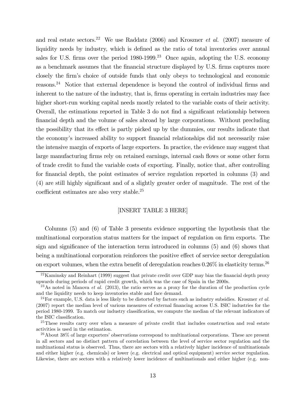and real estate sectors.<sup>22</sup> We use Raddatz (2006) and Kroszner *et al.* (2007) measure of liquidity needs by industry, which is defined as the ratio of total inventories over annual sales for U.S. firms over the period  $1980-1999$ .<sup>23</sup> Once again, adopting the U.S. economy as a benchmark assumes that the financial structure displayed by U.S. firms captures more closely the firm's choice of outside funds that only obeys to technological and economic reasons.24 Notice that external dependence is beyond the control of individual firms and inherent to the nature of the industry, that is, firms operating in certain industries may face higher short-run working capital needs mostly related to the variable costs of their activity. Overall, the estimations reported in Table 3 do not find a significant relationship between financial depth and the volume of sales abroad by large corporations. Without precluding the possibility that its effect is partly picked up by the dummies, our results indicate that the economy's increased ability to support financial relationships did not necessarily raise the intensive margin of exports of large exporters. In practice, the evidence may suggest that large manufacturing firms rely on retained earnings, internal cash flows or some other form of trade credit to fund the variable costs of exporting. Finally, notice that, after controlling for financial depth, the point estimates of service regulation reported in columns (3) and (4) are still highly significant and of a slightly greater order of magnitude. The rest of the coefficient estimates are also very stable.25

#### [INSERT TABLE 3 HERE]

Columns (5) and (6) of Table 3 presents evidence supporting the hypothesis that the multinational corporation status matters for the impact of regulation on firm exports. The sign and significance of the interaction term introduced in columns (5) and (6) shows that being a multinational corporation reinforces the positive effect of service sector deregulation on export volumes, when the extra benefit of deregulation reaches  $0.26\%$  in elasticity terms.<sup>26</sup>

<sup>&</sup>lt;sup>22</sup>Kaminsky and Reinhart (1999) suggest that private credit over GDP may bias the financial depth proxy upwards during periods of rapid credit growth, which was the case of Spain in the 2000s.

<sup>&</sup>lt;sup>23</sup>As noted in Manova *et al.* (2013), the ratio serves as a proxy for the duration of the production cycle and the liquidity needs to keep inventories stable and face demand.

 $^{24}$ For example, U.S. data is less likely to be distorted by factors such as industry subsidies. Kroszner *et al.* (2007) report the median level of various measures of external financing across U.S. ISIC industries for the period 1980-1999. To match our industry classification, we compute the median of the relevant indicators of the ISIC classification.

<sup>&</sup>lt;sup>25</sup>These results carry over when a measure of private credit that includes construction and real estate activities is used in the estimation.

<sup>26</sup>About 38% of large exporters' observations correspond to multinational corporations. These are present in all sectors and no distinct pattern of correlation between the level of service sector regulation and the multinational status is observed. Thus, there are sectors with a relatively higher incidence of multinationals and either higher (e.g. chemicals) or lower (e.g. electrical and optical equipment) service sector regulation. Likewise, there are sectors with a relatively lower incidence of multinationals and either higher (e.g. non-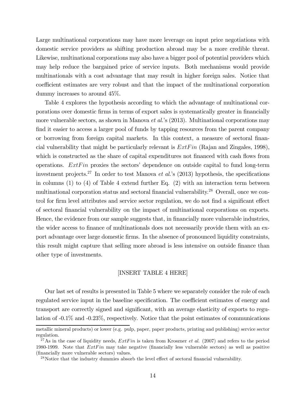Large multinational corporations may have more leverage on input price negotiations with domestic service providers as shifting production abroad may be a more credible threat. Likewise, multinational corporations may also have a bigger pool of potential providers which may help reduce the bargained price of service inputs. Both mechanisms would provide multinationals with a cost advantage that may result in higher foreign sales. Notice that coefficient estimates are very robust and that the impact of the multinational corporation dummy increases to around 45%.

Table 4 explores the hypothesis according to which the advantage of multinational corporations over domestic firms in terms of export sales is systematically greater in financially more vulnerable sectors, as shown in Manova et al.'s (2013). Multinational corporations may find it easier to access a larger pool of funds by tapping resources from the parent company or borrowing from foreign capital markets. In this context, a measure of sectoral financial vulnerability that might be particularly relevant is  $ExtFin$  (Rajan and Zingales, 1998), which is constructed as the share of capital expenditures not financed with cash flows from operations.  $ExtFin$  proxies the sectors' dependence on outside capital to fund long-term investment projects.<sup>27</sup> In order to test Manova *et al.*'s (2013) hypothesis, the specifications in columns (1) to (4) of Table 4 extend further Eq. (2) with an interaction term between multinational corporation status and sectoral financial vulnerability.<sup>28</sup> Overall, once we control for firm level attributes and service sector regulation, we do not find a significant effect of sectoral financial vulnerability on the impact of multinational corporations on exports. Hence, the evidence from our sample suggests that, in financially more vulnerable industries, the wider access to finance of multinationals does not necessarily provide them with an export advantage over large domestic firms. In the absence of pronounced liquidity constraints, this result might capture that selling more abroad is less intensive on outside finance than other type of investments.

## [INSERT TABLE 4 HERE]

Our last set of results is presented in Table 5 where we separately consider the role of each regulated service input in the baseline specification. The coefficient estimates of energy and transport are correctly signed and significant, with an average elasticity of exports to regulation of -0.1% and -0.23%, respectively. Notice that the point estimates of communications

metallic mineral products) or lower (e.g. pulp, paper, paper products, printing and publishing) service sector regulation.

<sup>&</sup>lt;sup>27</sup>As in the case of liquidity needs,  $ExtFin$  is taken from Kroszner *et al.* (2007) and refers to the period 1980-1999. Note that  $ExtFin$  may take negative (financially less vulnerable sectors) as well as positive (financially more vulnerable sectors) values.

<sup>&</sup>lt;sup>28</sup>Notice that the industry dummies absorb the level effect of sectoral financial vulnerability.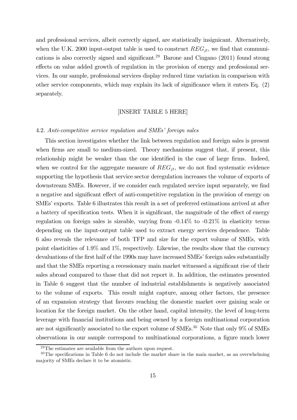and professional services, albeit correctly signed, are statistically insignicant. Alternatively, when the U.K. 2000 input-output table is used to construct  $REG_{it}$ , we find that communications is also correctly signed and significant.<sup>29</sup> Barone and Cingano  $(2011)$  found strong effects on value added growth of regulation in the provision of energy and professional services. In our sample, professional services display reduced time variation in comparison with other service components, which may explain its lack of significance when it enters Eq. (2) separately.

# [INSERT TABLE 5 HERE]

#### 4.2. Anti-competitive service regulation and SMEs' foreign sales

This section investigates whether the link between regulation and foreign sales is present when firms are small to medium-sized. Theory mechanisms suggest that, if present, this relationship might be weaker than the one identified in the case of large firms. Indeed, when we control for the aggregate measure of  $REG_{jt}$ , we do not find systematic evidence supporting the hypothesis that service sector deregulation increases the volume of exports of downstream SMEs. However, if we consider each regulated service input separately, we find a negative and significant effect of anti-competitive regulation in the provision of energy on SMEs' exports. Table 6 illustrates this result in a set of preferred estimations arrived at after a battery of specification tests. When it is significant, the magnitude of the effect of energy regulation on foreign sales is sizeable, varying from -0.14% to -0.21% in elasticity terms depending on the input-output table used to extract energy services dependence. Table 6 also reveals the relevance of both TFP and size for the export volume of SMEs, with point elasticities of 1.9% and 1%, respectively. Likewise, the results show that the currency devaluations of the first half of the 1990s may have increased SMEs' foreign sales substantially and that the SMEs reporting a recessionary main market witnessed a significant rise of their sales abroad compared to those that did not report it. In addition, the estimates presented in Table 6 suggest that the number of industrial establishments is negatively associated to the volume of exports. This result might capture, among other factors, the presence of an expansion strategy that favours reaching the domestic market over gaining scale or location for the foreign market. On the other hand, capital intensity, the level of long-term leverage with financial institutions and being owned by a foreign multinational corporation are not significantly associated to the export volume of SMEs.<sup>30</sup> Note that only 9% of SMEs observations in our sample correspond to multinational corporations, a figure much lower

 $29$ The estimates are available from the authors upon request.

 $30$ The specifications in Table 6 do not include the market share in the main market, as an overwhelming majority of SMEs declare it to be atomistic.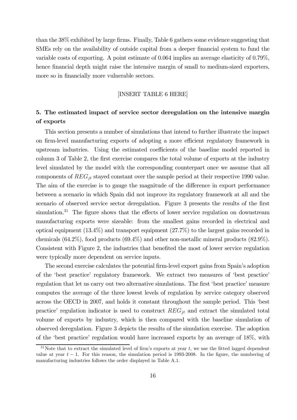than the 38% exhibited by large firms. Finally, Table 6 gathers some evidence suggesting that SMEs rely on the availability of outside capital from a deeper financial system to fund the variable costs of exporting. A point estimate of 0.064 implies an average elasticity of 0.79%, hence financial depth might raise the intensive margin of small to medium-sized exporters, more so in financially more vulnerable sectors.

#### [INSERT TABLE 6 HERE]

# 5. The estimated impact of service sector deregulation on the intensive margin of exports

This section presents a number of simulations that intend to further illustrate the impact on firm-level manufacturing exports of adopting a more efficient regulatory framework in upstream industries. Using the estimated coefficients of the baseline model reported in column 3 of Table 2, the first exercise compares the total volume of exports at the industry level simulated by the model with the corresponding counterpart once we assume that all components of  $REG_{jt}$  stayed constant over the sample period at their respective 1990 value. The aim of the exercise is to gauge the magnitude of the difference in export performance between a scenario in which Spain did not improve its regulatory framework at all and the scenario of observed service sector deregulation. Figure 3 presents the results of the first simulation.<sup>31</sup> The figure shows that the effects of lower service regulation on downstream manufacturing exports were sizeable: from the smallest gains recorded in electrical and optical equipment (13.4%) and transport equipment (27.7%) to the largest gains recorded in chemicals (64.2%), food products (69.4%) and other non-metallic mineral products (82.9%). Consistent with Figure 2, the industries that benefited the most of lower service regulation were typically more dependent on service inputs.

The second exercise calculates the potential firm-level export gains from Spain's adoption of the 'best practice' regulatory framework. We extract two measures of 'best practice' regulation that let us carry out two alternative simulations. The first 'best practice' measure computes the average of the three lowest levels of regulation by service category observed across the OECD in 2007, and holds it constant throughout the sample period. This 'best practice' regulation indicator is used to construct  $REG_{jt}$  and extract the simulated total volume of exports by industry, which is then compared with the baseline simulation of observed deregulation. Figure 3 depicts the results of the simulation exercise. The adoption of the 'best practice' regulation would have increased exports by an average of 18%, with

<sup>&</sup>lt;sup>31</sup>Note that to extract the simulated level of firm's exports at year t, we use the fitted lagged dependent value at year  $t - 1$ . For this reason, the simulation period is 1993-2008. In the figure, the numbering of manufacturing industries follows the order displayed in Table A.1.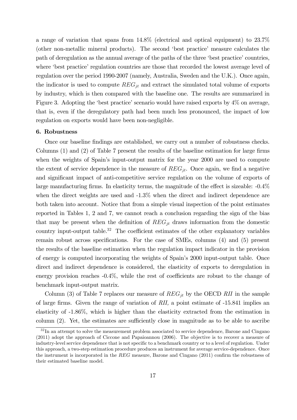a range of variation that spans from 14.8% (electrical and optical equipment) to 23.7% (other non-metallic mineral products). The second 'best practice' measure calculates the path of deregulation as the annual average of the paths of the three 'best practice' countries, where 'best practice' regulation countries are those that recorded the lowest average level of regulation over the period 1990-2007 (namely, Australia, Sweden and the U.K.). Once again, the indicator is used to compute  $REG_{jt}$  and extract the simulated total volume of exports by industry, which is then compared with the baseline one. The results are summarized in Figure 3. Adopting the 'best practice' scenario would have raised exports by 4% on average, that is, even if the deregulatory path had been much less pronounced, the impact of low regulation on exports would have been non-negligible.

## 6. Robustness

Once our baseline findings are established, we carry out a number of robustness checks. Columns (1) and (2) of Table 7 present the results of the baseline estimation for large firms when the weights of Spain's input-output matrix for the year 2000 are used to compute the extent of service dependence in the measure of  $REG_{it}$ . Once again, we find a negative and significant impact of anti-competitive service regulation on the volume of exports of large manufacturing firms. In elasticity terms, the magnitude of the effect is sizeable: -0.4% when the direct weights are used and  $-1.3\%$  when the direct and indirect dependence are both taken into account. Notice that from a simple visual inspection of the point estimates reported in Tables 1, 2 and 7, we cannot reach a conclusion regarding the sign of the bias that may be present when the definition of  $REG_{jt}$  draws information from the domestic country input-output table.<sup>32</sup> The coefficient estimates of the other explanatory variables remain robust across specifications. For the case of SMEs, columns (4) and (5) present the results of the baseline estimation when the regulation impact indicator in the provision of energy is computed incorporating the weights of Spain's 2000 input-output table. Once direct and indirect dependence is considered, the elasticity of exports to deregulation in energy provision reaches -0.4%, while the rest of coefficients are robust to the change of benchmark input-output matrix.

Column (3) of Table 7 replaces our measure of  $REG_{it}$  by the OECD RII in the sample of large firms. Given the range of variation of RII, a point estimate of -15.841 implies an elasticity of -1.86%, which is higher than the elasticity extracted from the estimation in column (2). Yet, the estimates are sufficiently close in magnitude as to be able to ascribe

 $32$  In an attempt to solve the measurement problem associated to service dependence, Barone and Cingano (2011) adopt the approach of Ciccone and Papaioannou (2006). The objective is to recover a measure of industry-level service dependence that is not specific to a benchmark country or to a level of regulation. Under this approach, a two-step estimation procedure produces an instrument for average service-dependence. Once the instrument is incorporated in the  $REG$  measure, Barone and Cingano (2011) confirm the robustness of their estimated baseline model.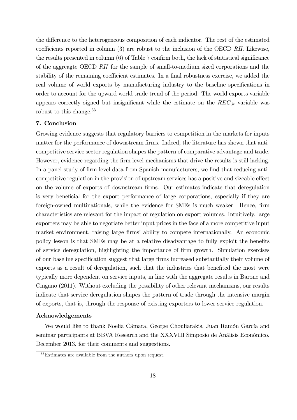the difference to the heterogeneous composition of each indicator. The rest of the estimated coefficients reported in column (3) are robust to the inclusion of the OECD RII. Likewise, the results presented in column (6) of Table 7 confirm both, the lack of statistical significance of the aggreagte OECD RII for the sample of small-to-medium sized corporations and the stability of the remaining coefficient estimates. In a final robustness exercise, we added the real volume of world exports by manufacturing industry to the baseline specifications in order to account for the upward world trade trend of the period. The world exports variable appears correctly signed but insignificant while the estimate on the  $REG_{it}$  variable was robust to this change.<sup>33</sup>

# 7. Conclusion

Growing evidence suggests that regulatory barriers to competition in the markets for inputs matter for the performance of downstream firms. Indeed, the literature has shown that anticompetitive service sector regulation shapes the pattern of comparative advantage and trade. However, evidence regarding the firm level mechanisms that drive the results is still lacking. In a panel study of firm-level data from Spanish manufacturers, we find that reducing anticompetitive regulation in the provision of upstream services has a positive and sizeable effect on the volume of exports of downstream firms. Our estimates indicate that deregulation is very beneficial for the export performance of large corporations, especially if they are foreign-owned multinationals, while the evidence for SMEs is much weaker. Hence, firm characteristics are relevant for the impact of regulation on export volumes. Intuitively, large exporters may be able to negotiate better input prices in the face of a more competitive input market environment, raising large firms' ability to compete internationally. An economic policy lesson is that SMEs may be at a relative disadvantage to fully exploit the benefits of service deregulation, highlighting the importance of firm growth. Simulation exercises of our baseline specification suggest that large firms increased substantially their volume of exports as a result of deregulation, such that the industries that benefited the most were typically more dependent on service inputs, in line with the aggregate results in Barone and Cingano (2011). Without excluding the possibility of other relevant mechanisms, our results indicate that service deregulation shapes the pattern of trade through the intensive margin of exports, that is, through the response of existing exporters to lower service regulation.

## Acknowledgements

We would like to thank Noelia Cámara, George Chouliarakis, Juan Ramón García and seminar participants at BBVA Research and the XXXVIII Simposio de Análisis Económico, December 2013, for their comments and suggestions.

<sup>33</sup>Estimates are available from the authors upon request.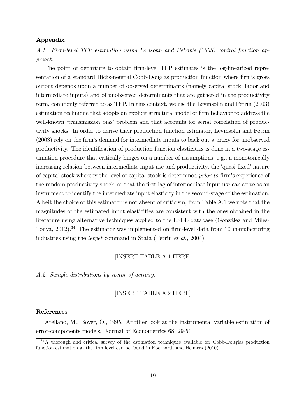# Appendix

A.1. Firm-level TFP estimation using Levisohn and Petrin's (2003) control function approach

The point of departure to obtain firm-level TFP estimates is the log-linearized representation of a standard Hicks-neutral Cobb-Douglas production function where firm's gross output depends upon a number of observed determinants (namely capital stock, labor and intermediate inputs) and of unobserved determinants that are gathered in the productivity term, commonly referred to as TFP. In this context, we use the Levinsohn and Petrin (2003) estimation technique that adopts an explicit structural model of firm behavior to address the well-known 'transmission bias' problem and that accounts for serial correlation of productivity shocks. In order to derive their production function estimator, Levinsohn and Petrin (2003) rely on the firm's demand for intermediate inputs to back out a proxy for unobserved productivity. The identification of production function elasticities is done in a two-stage estimation procedure that critically hinges on a number of assumptions, e.g., a monotonically increasing relation between intermediate input use and productivity, the 'quasi-fixed' nature of capital stock whereby the level of capital stock is determined prior to firm's experience of the random productivity shock, or that the first lag of intermediate input use can serve as an instrument to identify the intermediate input elasticity in the second-stage of the estimation. Albeit the choice of this estimator is not absent of criticism, from Table A.1 we note that the magnitudes of the estimated input elasticities are consistent with the ones obtained in the literature using alternative techniques applied to the ESEE database (González and Miles-Touya, 2012).<sup>34</sup> The estimator was implemented on firm-level data from 10 manufacturing industries using the levpet command in Stata (Petrin et al., 2004).

# [INSERT TABLE A.1 HERE]

A.2. Sample distributions by sector of activity.

# [INSERT TABLE A.2 HERE]

#### References

Arellano, M., Bover, O., 1995. Another look at the instrumental variable estimation of error-components models. Journal of Econometrics 68, 29-51.

<sup>&</sup>lt;sup>34</sup>A thorough and critical survey of the estimation techniques available for Cobb-Douglas production function estimation at the firm level can be found in Eberhardt and Helmers (2010).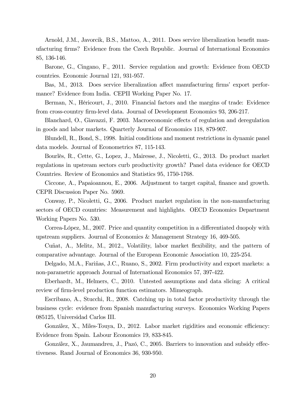Arnold, J.M., Javorcik, B.S., Mattoo, A., 2011. Does service liberalization benefit manufacturing firms? Evidence from the Czech Republic. Journal of International Economics 85, 136-146.

Barone, G., Cingano, F., 2011. Service regulation and growth: Evidence from OECD countries. Economic Journal 121, 931-957.

Bas, M., 2013. Does service liberalization affect manufacturing firms' export performance? Evidence from India. CEPII Working Paper No. 17.

Berman, N., Héricourt, J., 2010. Financial factors and the margins of trade: Evidence from cross-country firm-level data. Journal of Development Economics 93, 206-217.

Blanchard, O., Giavazzi, F. 2003. Macroeconomic effects of regulation and deregulation in goods and labor markets. Quarterly Journal of Economics 118, 879-907.

Blundell, R., Bond, S., 1998. Initial conditions and moment restrictions in dynamic panel data models. Journal of Econometrics 87, 115-143.

Bourlès, R., Cette, G., Lopez, J., Mairesse, J., Nicoletti, G., 2013. Do product market regulations in upstream sectors curb productivity growth? Panel data evidence for OECD Countries. Review of Economics and Statistics 95, 1750-1768.

Ciccone, A., Papaioannou, E., 2006. Adjustment to target capital, finance and growth. CEPR Discussion Paper No. 5969.

Conway, P., Nicoletti, G., 2006. Product market regulation in the non-manufacturing sectors of OECD countries: Measurement and highlights. OECD Economics Department Working Papers No. 530.

Correa-López, M., 2007. Price and quantity competition in a differentiated duopoly with upstream suppliers. Journal of Economics & Management Strategy 16, 469-505.

Cuñat, A., Melitz, M., 2012., Volatility, labor market flexibility, and the pattern of comparative advantage. Journal of the European Economic Association 10, 225-254.

Delgado, M.A., Fariñas, J.C., Ruano, S., 2002. Firm productivity and export markets: a non-parametric approach Journal of International Economics 57, 397-422.

Eberhardt, M., Helmers, C., 2010. Untested assumptions and data slicing: A critical review of firm-level production function estimators. Mimeograph.

Escribano, A., Stucchi, R., 2008. Catching up in total factor productivity through the business cycle: evidence from Spanish manufacturing surveys. Economics Working Papers 085125, Universidad Carlos III.

González, X., Miles-Touya, D., 2012. Labor market rigidities and economic efficiency: Evidence from Spain. Labour Economics 19, 833-845.

González, X., Jaumandreu, J., Pazó, C., 2005. Barriers to innovation and subsidy effectiveness. Rand Journal of Economics 36, 930-950.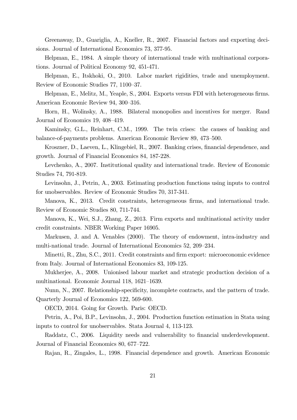Greenaway, D., Guariglia, A., Kneller, R., 2007. Financial factors and exporting decisions. Journal of International Economics 73, 377-95.

Helpman, E., 1984. A simple theory of international trade with multinational corporations. Journal of Political Economy 92, 451-471.

Helpman, E., Itskhoki, O., 2010. Labor market rigidities, trade and unemployment. Review of Economic Studies 77, 1100—37.

Helpman, E., Melitz, M., Yeaple, S., 2004. Exports versus FDI with heterogeneous firms. American Economic Review 94, 300—316.

Horn, H., Wolinsky, A., 1988. Bilateral monopolies and incentives for merger. Rand Journal of Economics 19, 408—419.

Kaminsky, G.L., Reinhart, C.M., 1999. The twin crises: the causes of banking and balance-of-payments problems. American Economic Review 89, 473—500.

Kroszner, D., Laeven, L., Klingebiel, R., 2007. Banking crises, financial dependence, and growth. Journal of Financial Economics 84, 187-228.

Levchenko, A., 2007. Institutional quality and international trade. Review of Economic Studies 74, 791-819.

Levinsohn, J., Petrin, A., 2003. Estimating production functions using inputs to control for unobservables. Review of Economic Studies 70, 317-341.

Manova, K., 2013. Credit constraints, heterogeneous firms, and international trade. Review of Economic Studies 80, 711-744.

Manova, K., Wei, S.J., Zhang, Z., 2013. Firm exports and multinational activity under credit constraints. NBER Working Paper 16905.

Markusen, J. and A. Venables (2000). The theory of endowment, intra-industry and multi-national trade. Journal of International Economics 52, 209—234.

Minetti, R., Zhu, S.C., 2011. Credit constraints and firm export: microeconomic evidence from Italy. Journal of International Economics 83, 109-125.

Mukherjee, A., 2008. Unionised labour market and strategic production decision of a multinational. Economic Journal 118, 1621—1639.

Nunn, N., 2007. Relationship-specificity, incomplete contracts, and the pattern of trade. Quarterly Journal of Economics 122, 569-600.

OECD, 2014. Going for Growth. Paris: OECD.

Petrin, A., Poi, B.P., Levinsohn, J., 2004. Production function estimation in Stata using inputs to control for unobservables. Stata Journal 4, 113-123.

Raddatz, C., 2006. Liquidity needs and vulnerability to financial underdevelopment. Journal of Financial Economics 80, 677—722.

Rajan, R., Zingales, L., 1998. Financial dependence and growth. American Economic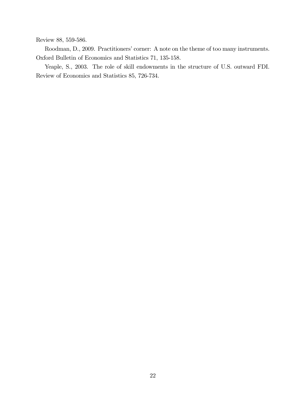Review 88, 559-586.

Roodman, D., 2009. Practitioners' corner: A note on the theme of too many instruments. Oxford Bulletin of Economics and Statistics 71, 135-158.

Yeaple, S., 2003. The role of skill endowments in the structure of U.S. outward FDI. Review of Economics and Statistics 85, 726-734.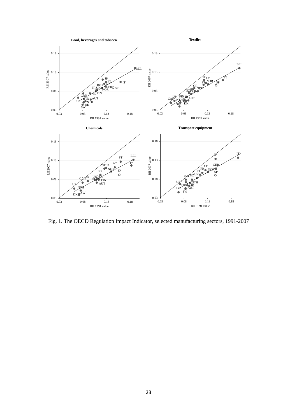

Fig. 1. The OECD Regulation Impact Indicator, selected manufacturing sectors, 1991-2007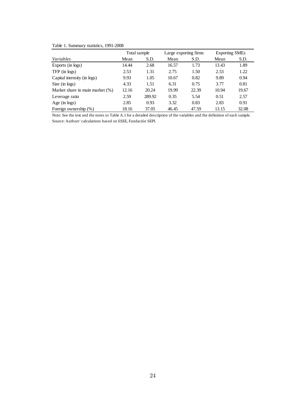# Table 1. Summary statistics, 1991-2008

|                                 | Total sample |        |       | Large exporting firms | <b>Exporting SMEs</b> |       |
|---------------------------------|--------------|--------|-------|-----------------------|-----------------------|-------|
| Variables                       | Mean         | S.D.   | Mean  | S.D.                  | Mean                  | S.D.  |
| Exports (in logs)               | 14.44        | 2.68   | 16.57 | 1.73                  | 13.43                 | 1.89  |
| $TFP$ (in logs)                 | 2.53         | 1.31   | 2.75  | 1.50                  | 2.53                  | 1.22  |
| Capital intensity (in logs)     | 9.93         | 1.05   | 10.67 | 0.82                  | 9.89                  | 0.94  |
| Size (in logs)                  | 4.33         | 1.51   | 6.31  | 0.75                  | 3.77                  | 0.81  |
| Market share in main market (%) | 12.16        | 20.24  | 19.99 | 22.39                 | 10.94                 | 19.67 |
| Leverage ratio                  | 2.59         | 289.92 | 0.35  | 5.54                  | 0.51                  | 2.57  |
| Age (in $\log s$ )              | 2.85         | 0.93   | 3.32  | 0.83                  | 2.83                  | 0.91  |
| Foreign ownership $(\%)$        | 18.16        | 37.05  | 46.45 | 47.59                 | 13.15                 | 32.08 |

Note: See the text and the notes to Table A.1 for a detailed description of the variables and the definition of each sample. Source: Authors' calculations based on ESEE, Fundación SEPI.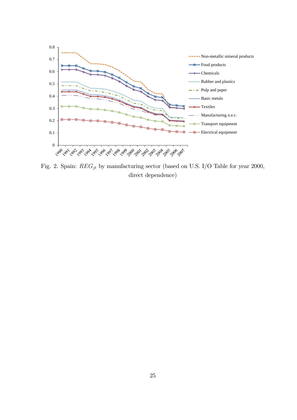

Fig. 2. Spain:  $REG_{jt}$  by manufacturing sector (based on U.S. I/O Table for year 2000, direct dependence)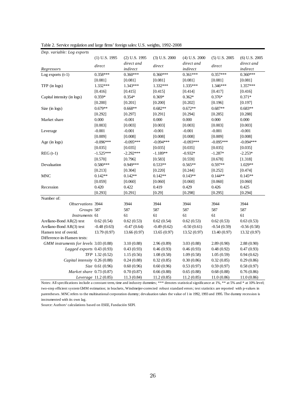| Dep. variable: Log exports             |                      |               |                   |                   |                 |                   |
|----------------------------------------|----------------------|---------------|-------------------|-------------------|-----------------|-------------------|
|                                        | $(1)$ U.S. 1995      | (2) U.S. 1995 | $(3)$ U.S. $2000$ | $(4)$ U.S. $2000$ | $(5)$ U.S. 2005 | $(6)$ U.S. $2005$ |
|                                        | direct               | direct and    | direct            | direct and        | direct          | direct and        |
| Regressors                             |                      | indirect      |                   | indirect          |                 | indirect          |
| Log exports $(t-1)$                    | $0.358***$           | $0.360***$    | $0.360***$        | $0.361***$        | $0.357***$      | $0.360***$        |
|                                        | [0.081]              | [0.081]       | [0.081]           | [0.081]           | [0.081]         | [0.081]           |
| TFP (in logs)                          | $1.332***$           | $1.343***$    | $1.332***$        | $1.335***$        | $1.346***$      | $1.357***$        |
|                                        | [0.416]              | [0.415]       | [0.415]           | [0.414]           | [0.417]         | [0.416]           |
| Capital intensity (in logs)            | $0.359*$             | $0.354*$      | $0.369*$          | $0.362*$          | $0.376*$        | $0.371*$          |
|                                        | [0.200]              | [0.201]       | [0.200]           | [0.202]           | [0.196]         | [0.197]           |
| Size (in logs)                         | $0.679**$            | $0.668**$     | $0.682**$         | $0.672**$         | $0.687**$       | $0.683**$         |
|                                        | [0.292]              | [0.297]       | [0.291]           | [0.294]           | [0.285]         | [0.288]           |
| Market share                           | 0.000                | $-0.001$      | 0.000             | 0.000             | 0.000           | 0.000             |
|                                        | [0.003]              | [0.003]       | [0.003]           | [0.003]           | [0.003]         | [0.003]           |
| Leverage                               | $-0.001$             | $-0.001$      | $-0.001$          | $-0.001$          | $-0.001$        | $-0.001$          |
|                                        | [0.009]              | [0.008]       | [0.008]           | [0.008]           | [0.009]         | [0.008]           |
| Age $(in \text{ logs})$                | $-0.096***$          | $-0.095***$   | $-0.094***$       | $-0.093***$       | $-0.095***$     | $-0.094***$       |
|                                        | [0.035]              | [0.035]       | [0.035]           | [0.035]           | [0.035]         | [0.035]           |
| $REG(t-1)$                             | $-1.525***$          | $-2.292***$   | $-1.189**$        | $-0.932*$         | $-1.287*$       | $-2.253*$         |
|                                        | [0.570]              | [0.796]       | [0.583]           | [0.559]           | [0.678]         | [1.318]           |
| Devaluation                            | $0.580***$           | 0.949***      | $0.533**$         | $0.565**$         | $0.597**$       | $1.029**$         |
|                                        | [0.213]              | [0.304]       | [0.220]           | [0.244]           | [0.252]         | [0.474]           |
| <b>MNC</b>                             | $0.142**$            | $0.142**$     | $0.142**$         | $0.143**$         | $0.144**$       | $0.145**$         |
|                                        | [0.059]              | [0.060]       | [0.060]           | [0.060]           | [0.060]         | [0.060]           |
| Recession                              | 0.420                | 0.422         | 0.419             | 0.429             | 0.426           | 0.425             |
|                                        | [0.293]              | [0.291]       | [0.29]            | [0.298]           | [0.295]         | [0.294]           |
| Number of:                             |                      |               |                   |                   |                 |                   |
| Observations 3944                      |                      | 3944          | 3944              | 3944              | 3944            | 3944              |
| Groups 587                             |                      | 587           | 587               | 587               | 587             | 587               |
| Instruments 61                         |                      | 61            | 61                | 61                | 61              | 61                |
| Arellano-Bond AR(2) test               | 0.62(0.54)           | 0.62(0.53)    | 0.62(0.54)        | 0.62(0.53)        | 0.62(0.53)      | 0.63(0.53)        |
| Arellano-Bond AR(3) test               | $-0.48(0.63)$        | $-0.47(0.64)$ | $-0.49(0.62)$     | $-0.50(0.61)$     | $-0.54(0.59)$   | $-0.56(0.58)$     |
| Hansen test of overid.                 | 13.79 (0.97)         | 13.66 (0.97)  | 13.65 (0.97)      | 13.52 (0.97)      | 13.40 (0.97)    | 13.32 (0.97)      |
| Difference-in-Hansen tests:            |                      |               |                   |                   |                 |                   |
| GMM instruments for levels 3.03 (0.88) |                      | 3.10(0.88)    | 2.96(0.89)        | 3.03(0.88)        | 2.89(0.90)      | 2.88(0.90)        |
| Lagged exports 0.43 (0.93)             |                      | 0.43(0.93)    | 0.46(0.93)        | 0.46(0.93)        | 0.48(0.92)      | 0.47(0.93)        |
|                                        | TFP 1.32 (0.52)      | 1.15(0.56)    | 1.08(0.58)        | 1.09(0.58)        | 1.05(0.59)      | 0.94(0.62)        |
| Capital intensity 0.26 (0.88)          |                      | 0.24(0.88)    | 0.32(0.85)        | 0.30(0.86)        | 0.32(0.85)      | 0.29(0.86)        |
|                                        | Size 0.61 (0.96)     | 0.60(0.96)    | 0.60(0.96)        | 0.53(0.97)        | 0.59(0.97)      | 0.58(0.97)        |
| Market share 0.73 (0.87)               |                      | 0.70(0.87)    | 0.66(0.88)        | 0.65(0.88)        | 0.68(0.88)      | 0.76(0.86)        |
|                                        | Leverage 11.2 (0.85) | 11.3(0.84)    | 11.2(0.85)        | 11.2(0.85)        | 11.0(0.86)      | 11.0(0.86)        |

Table 2. Service regulation and large firms' foreign sales: U.S. weights, 1992-2008

Notes: All specifications include a constant term, time and industry dummies; \*\*\* denotes statistical significance at 1%, \*\* at 5% and \* at 10% level; two-step efficient system GMM estimation; in brackets, Windmeijer-corrected robust standard errors; test statistics are reported with p-values in parentheses. MNC refers to the multinational corporation dummy; devaluation takes the value of 1 in 1992, 1993 and 1995. The dummy recession is instrumented with its own lag.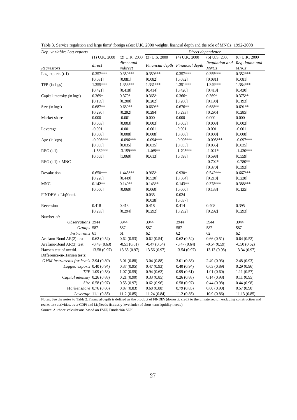| Dep. variable: Log exports             |                      |                             | Direct dependence |                                 |                 |                               |  |
|----------------------------------------|----------------------|-----------------------------|-------------------|---------------------------------|-----------------|-------------------------------|--|
|                                        | $(1)$ U.K. $2000$    | (2) U.K. 2000 (3) U.S. 2000 |                   | $(4)$ U.K. 2000                 | $(5)$ U.S. 2000 | $(6)$ U.K. $2000$             |  |
|                                        | direct               | direct and                  |                   | Financial depth Financial depth |                 | Regulation and Regulation and |  |
| Regressors                             |                      | indirect                    |                   |                                 | <b>MNCs</b>     | <b>MNCs</b>                   |  |
| Log exports $(t-1)$                    | $0.357***$           | $0.359***$                  | $0.359***$        | $0.357***$                      | $0.355***$      | $0.352***$                    |  |
|                                        | [0.081]              | [0.081]                     | [0.082]           | [0.082]                         | [0.081]         | [0.081]                       |  |
| $TFP$ (in logs)                        | 1.355***             | $1.356***$                  | $1.331***$        | $1.351***$                      | 1.349***        | 1.384***                      |  |
|                                        | [0.421]              | [0.418]                     | [0.414]           | [0.420]                         | [0.413]         | [0.430]                       |  |
| Capital intensity (in logs)            | $0.369*$             | $0.370*$                    | $0.365*$          | $0.366*$                        | $0.369*$        | $0.375**$                     |  |
|                                        | [0.199]              | [0.200]                     | [0.202]           | [0.200]                         | [0.198]         | [0.193]                       |  |
| Size $(in \text{ logs})$               | $0.687**$            | $0.689**$                   | $0.669**$         | $0.676**$                       | $0.688**$       | $0.691**$                     |  |
|                                        | [0.290]              | [0.292]                     | [0.294]           | [0.293]                         | [0.295]         | [0.285]                       |  |
| Market share                           | 0.000                | $-0.001$                    | 0.000             | 0.000                           | 0.000           | 0.000                         |  |
|                                        | [0.003]              | [0.003]                     | [0.003]           | [0.003]                         | [0.003]         | [0.003]                       |  |
| Leverage                               | $-0.001$             | $-0.001$                    | $-0.001$          | $-0.001$                        | $-0.001$        | $-0.001$                      |  |
|                                        | [0.008]              | [0.008]                     | [0.008]           | [0.008]                         | [0.008]         | [0.008]                       |  |
| Age (in $\log s$ )                     | $-0.096***$          | $-0.096***$                 | $-0.094***$       | $-0.096***$                     | $-0.095***$     | $-0.097***$                   |  |
|                                        | [0.035]              | [0.035]                     | [0.035]           | [0.035]                         | [0.035]         | [0.035]                       |  |
| $REG(t-1)$                             | $-1.582***$          | $-3.159***$                 | $-1.469**$        | $-1.705***$                     | $-1.021*$       | $-1.430***$                   |  |
|                                        | [0.565]              | [1.060]                     | [0.613]           | [0.598]                         | [0.598]         | [0.559]                       |  |
| $REG(t-1)$ x MNC                       |                      |                             |                   |                                 | $-0.702*$       | $-0.780**$                    |  |
|                                        |                      |                             |                   |                                 | [0.370]         | [0.393]                       |  |
| Devaluation                            | $0.650***$           | 1.448***                    | $0.965*$          | $0.930*$                        | $0.542***$      | $0.667***$                    |  |
|                                        | [0.228]              | [0.449]                     | [0.520]           | [0.504]                         | [0.218]         | [0.228]                       |  |
| <b>MNC</b>                             | $0.142**$            | $0.140**$                   | $0.143**$         | $0.143**$                       | $0.378***$      | $0.388***$                    |  |
|                                        | [0.060]              | [0.060]                     | [0.060]           | [0.060]                         | [0.133]         | [0.135]                       |  |
| FINDEV x LiqNeeds                      |                      |                             | 0.035             | 0.024                           |                 |                               |  |
|                                        |                      |                             | [0.038]           | [0.037]                         |                 |                               |  |
| Recession                              | 0.418                | 0.413                       | 0.418             | 0.414                           | 0.408           | 0.395                         |  |
|                                        | [0.293]              | [0.294]                     | [0.292]           | [0.292]                         | [0.292]         | [0.293]                       |  |
| Number of:                             |                      |                             |                   |                                 |                 |                               |  |
| Observations 3944                      |                      | 3944                        | 3944              | 3944                            | 3944            | 3944                          |  |
| Groups 587                             |                      | 587                         | 587               | 587                             | 587             | 587                           |  |
| Instruments 61                         |                      | 61                          | 62                | 62                              | 62              | 62                            |  |
| Arellano-Bond AR(2) test               | 0.62(0.54)           | 0.62(0.53)                  | 0.62(0.54)        | 0.62(0.54)                      | 0.66(0.51)      | 0.64(0.52)                    |  |
| Arellano-Bond AR(3) test               | $-0.49(0.63)$        | $-0.51(0.61)$               | $-0.47(0.64)$     | $-0.47(0.64)$                   | $-0.54(0.59)$   | $-0.50(0.62)$                 |  |
| Hansen test of overid.                 | 13.58 (0.97)         | 13.65(0.97)                 | 13.56 (0.97)      | 13.54(0.97)                     | 13.13 (0.98)    | 13.34 (0.97)                  |  |
| Difference-in-Hansen tests:            |                      |                             |                   |                                 |                 |                               |  |
| GMM instruments for levels 2.94 (0.89) |                      | 3.01(0.88)                  | 3.04(0.88)        | 3.01(0.88)                      | 2.49(0.93)      | 2.48 (0.93)                   |  |
| Lagged exports 0.40 (0.94)             |                      | 0.37(0.95)                  | 0.47(0.93)        | 0.40(0.94)                      | 0.63(0.89)      | 0.29(0.96)                    |  |
|                                        | TFP 1.09 (0.58)      | 1.07(0.59)                  | 0.94(0.62)        | 0.99(0.61)                      | 1.01(0.60)      | 1.11(0.57)                    |  |
| Capital intensity 0.26 (0.88)          |                      | 0.21(0.90)                  | 0.33(0.85)        | 0.26(0.88)                      | 0.14(0.93)      | 0.11(0.95)                    |  |
|                                        | Size 0.58 (0.97)     | 0.55(0.97)                  | 0.62(0.96)        | 0.58(0.97)                      | 0.44(0.98)      | 0.44(0.98)                    |  |
| Market share 0.76 (0.86)               |                      | 0.87(0.83)                  | 0.68(0.88)        | 0.79(0.85)                      | 0.60(0.90)      | 0.57(0.90)                    |  |
|                                        | Leverage 11.1 (0.85) | 11.2(0.85)                  | 11.24(0.84)       | 11.2(0.85)                      | 10.9(0.86)      | 11.13(0.85)                   |  |

Table 3. Service regulation and large firms' foreign sales: U.K. 2000 weights, financial depth and the role of MNCs, 1992-2008

Notes: See the notes to Table 2. Financial depth is defined as the product of FINDEV (domestic credit to the private sector, excluding construction and real estate activities, over GDP) and LiqNeeds (industry-level index of short-term liquidity needs).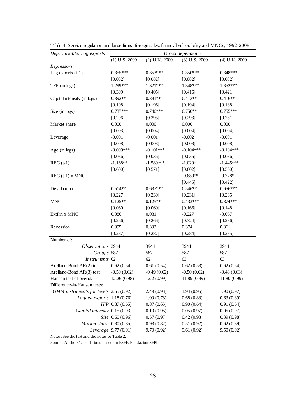| Dep. variable: Log exports             | Direct dependence    |                   |                   |                   |  |  |  |  |
|----------------------------------------|----------------------|-------------------|-------------------|-------------------|--|--|--|--|
|                                        | $(1)$ U.S. 2000      | $(2)$ U.K. $2000$ | $(3)$ U.S. $2000$ | $(4)$ U.K. $2000$ |  |  |  |  |
| Regressors                             |                      |                   |                   |                   |  |  |  |  |
| Log exports $(t-1)$                    | $0.355***$           | $0.353***$        | $0.350***$        | $0.348***$        |  |  |  |  |
|                                        | [0.082]              | [0.082]           | [0.082]           | [0.082]           |  |  |  |  |
| TFP (in logs)                          | 1.299***             | $1.321***$        | 1.348***          | 1.352***          |  |  |  |  |
|                                        | [0.399]              | [0.405]           | [0.416]           | [0.421]           |  |  |  |  |
| Capital intensity (in logs)            | $0.392**$            | $0.391**$         | $0.413**$         | $0.416**$         |  |  |  |  |
|                                        | [0.198]              | [0.196]           | [0.194]           | [0.188]           |  |  |  |  |
| Size (in logs)                         | $0.737***$           | $0.740***$        | $0.750**$         | $0.755***$        |  |  |  |  |
|                                        | [0.296]              | [0.293]           | [0.293]           | [0.281]           |  |  |  |  |
| Market share                           | 0.000                | 0.000             | 0.000             | 0.000             |  |  |  |  |
|                                        | [0.003]              | [0.004]           | [0.004]           | [0.004]           |  |  |  |  |
| Leverage                               | $-0.001$             | $-0.001$          | $-0.002$          | $-0.001$          |  |  |  |  |
|                                        | [0.008]              | [0.008]           | [0.008]           | [0.008]           |  |  |  |  |
| Age $(in \text{ logs})$                | $-0.099***$          | $-0.101***$       | $-0.104***$       | $-0.104***$       |  |  |  |  |
|                                        | [0.036]              | [0.036]           | [0.036]           | [0.036]           |  |  |  |  |
| $REG(t-1)$                             | $-1.168**$           | $-1.589***$       | $-1.029*$         | $-1.445***$       |  |  |  |  |
|                                        | [0.600]              | [0.571]           | [0.602]           | [0.560]           |  |  |  |  |
| $REG(t-1)$ x MNC                       |                      |                   | $-0.880**$        | $-0.778*$         |  |  |  |  |
|                                        |                      |                   | [0.445]           | [0.422]           |  |  |  |  |
| Devaluation                            | $0.514**$            | $0.637***$        | $0.546**$         | $0.656***$        |  |  |  |  |
|                                        | [0.227]              | [0.230]           | [0.231]           | [0.235]           |  |  |  |  |
| <b>MNC</b>                             | $0.125**$            | $0.125**$         | $0.433***$        | $0.374***$        |  |  |  |  |
|                                        | [0.060]              | [0.060]           | [0.166]           | [0.148]           |  |  |  |  |
| ExtFin x MNC                           | 0.086                | 0.081             | $-0.227$          | $-0.067$          |  |  |  |  |
|                                        | [0.266]              | [0.266]           | [0.324]           | [0.286]           |  |  |  |  |
| Recession                              | 0.395                | 0.393             | 0.374             | 0.361             |  |  |  |  |
|                                        | [0.287]              | [0.287]           | [0.284]           | [0.285]           |  |  |  |  |
| Number of:                             |                      |                   |                   |                   |  |  |  |  |
| Observations 3944                      |                      | 3944              | 3944              | 3944              |  |  |  |  |
| Groups 587                             |                      | 587               | 587               | 587               |  |  |  |  |
| Instruments 62                         |                      | 62                | 63                | 63                |  |  |  |  |
| Arellano-Bond AR(2) test               | 0.62(0.54)           | 0.61(0.54)        | 0.62(0.53)        | 0.62(0.54)        |  |  |  |  |
| Arellano-Bond AR(3) test               | $-0.50(0.62)$        | $-0.49(0.62)$     | $-0.50(0.62)$     | $-0.48(0.63)$     |  |  |  |  |
| Hansen test of overid.                 | 12.26 (0.98)         | 12.2(0.99)        | 11.89 (0.99)      | 11.80 (0.99)      |  |  |  |  |
| Difference-in-Hansen tests:            |                      |                   |                   |                   |  |  |  |  |
| GMM instruments for levels 2.55 (0.92) |                      | 2.49(0.93)        | 1.94(0.96)        | 1.90(0.97)        |  |  |  |  |
| Lagged exports $1.18(0.76)$            |                      | 1.09(0.78)        | 0.68(0.88)        | 0.63(0.89)        |  |  |  |  |
|                                        | TFP 0.87 (0.65)      | 0.87(0.65)        | 0.90(0.64)        | 0.91(0.64)        |  |  |  |  |
| Capital intensity 0.15 (0.93)          |                      | 0.10(0.95)        | 0.05(0.97)        | 0.05(0.97)        |  |  |  |  |
|                                        | Size 0.60 (0.96)     | 0.57(0.97)        | 0.42(0.98)        | 0.39(0.98)        |  |  |  |  |
| Market share 0.80 (0.85)               |                      | 0.93(0.82)        | 0.51(0.92)        | 0.62(0.89)        |  |  |  |  |
|                                        | Leverage 9.77 (0.91) | 9.70(0.92)        | 9.61(0.92)        | 9.50(0.92)        |  |  |  |  |

Table 4. Service regulation and large firms' foreign sales: financial vulnerability and MNCs, 1992-2008

Notes: See the text and the notes to Table 2.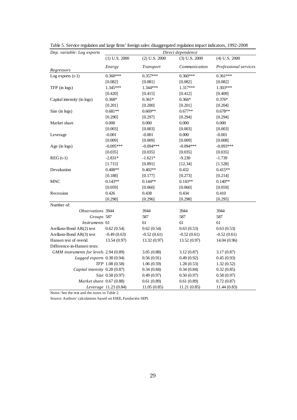| Dep. variable: Log exports             |                       |                   | Direct dependence |                       |
|----------------------------------------|-----------------------|-------------------|-------------------|-----------------------|
|                                        | $(1)$ U.S. 2000       | $(2)$ U.S. $2000$ | $(3)$ U.S. $2000$ | $(4)$ U.S. 2000       |
| Regressors                             | Energy                | Transport         | Communication     | Professional services |
| Log exports $(t-1)$                    | $0.360***$            | $0.357***$        | $0.360***$        | $0.361***$            |
|                                        | [0.082]               | [0.081]           | [0.082]           | [0.082]               |
| TFP (in logs)                          | 1.345***              | 1.344***          | 1.317***          | 1.303***              |
|                                        | [0.420]               | [0.415]           | [0.412]           | [0.409]               |
| Capital intensity (in logs)            | $0.368*$              | $0.361*$          | $0.366*$          | $0.376*$              |
|                                        | [0.201]               | [0.200]           | [0.201]           | [0.204]               |
| Size (in logs)                         | $0.681**$             | $0.669**$         | $0.677**$         | $0.678**$             |
|                                        | [0.290]               | [0.297]           | [0.294]           | [0.294]               |
| Market share                           | 0.000                 | 0.000             | 0.000             | 0.000                 |
|                                        | [0.003]               | [0.003]           | [0.003]           | [0.003]               |
| Leverage                               | $-0.001$              | $-0.001$          | 0.000             | $-0.001$              |
|                                        | [0.009]               | [0.009]           | [0.009]           | [0.008]               |
| Age (in $\log s$ )                     | $-0.095***$           | $-0.094***$       | $-0.094***$       | $-0.093***$           |
|                                        | [0.035]               | [0.035]           | [0.035]           | [0.035]               |
| $REG(t-1)$                             | $-2.831*$             | $-1.621*$         | $-9.230$          | $-1.739$              |
|                                        | [1.715]               | [0.891]           | [12.34]           | [1.528]               |
| Devaluation                            | $0.408**$             | $0.402**$         | 0.432             | $0.415**$             |
|                                        | [0.188]               | [0.177]           | [0.273]           | [0.214]               |
| <b>MNC</b>                             | $0.143**$             | $0.144**$         | $0.143**$         | $0.140**$             |
|                                        | [0.059]               | [0.060]           | [0.060]           | [0.059]               |
| Recession                              | 0.426                 | 0.438             | 0.434             | 0.410                 |
|                                        | [0.298]               | [0.296]           | [0.298]           | [0.295]               |
| Number of:                             |                       |                   |                   |                       |
| Observations 3944                      |                       | 3944              | 3944              | 3944                  |
| Groups 587                             |                       | 587               | 587               | 587                   |
| Instruments 61                         |                       | 61                | 61                | 61                    |
| Arellano-Bond AR(2) test               | 0.62(0.54)            | 0.62(0.54)        | 0.63(0.53)        | 0.63(0.53)            |
| Arellano-Bond AR(3) test               | $-0.49(0.63)$         | $-0.52(0.61)$     | $-0.52(0.61)$     | $-0.52(0.61)$         |
| Hansen test of overid.                 | 13.54(0.97)           | 13.32 (0.97)      | 13.52(0.97)       | 14.04 (0.96)          |
| Difference-in-Hansen tests:            |                       |                   |                   |                       |
| GMM instruments for levels 2.94 (0.89) |                       | 3.05(0.88)        | 3.12(0.87)        | 3.17(0.87)            |
| Lagged exports 0.38 (0.94)             |                       | 0.56(0.91)        | 0.49(0.92)        | 0.45(0.93)            |
|                                        | TFP 1.08 (0.58)       | 1.06(0.59)        | 1.28(0.53)        | 1.32(0.52)            |
| Capital intensity 0.28 (0.87)          |                       | 0.34(0.84)        | 0.34(0.84)        | 0.32(0.85)            |
|                                        | Size 0.58 (0.97)      | 0.49(0.97)        | 0.50(0.97)        | 0.58(0.97)            |
| Market share 0.67 (0.88)               |                       | 0.61(0.89)        | 0.61(0.89)        | 0.72(0.87)            |
|                                        | Leverage 11.23 (0.84) | 11.05(0.85)       | 11.21(0.85)       | 11.44(0.83)           |

Table 5. Service regulation and large firms' foreign sales: disaggregated regulation impact indicators, 1992-2008

Notes: See the text and the notes to Table 2.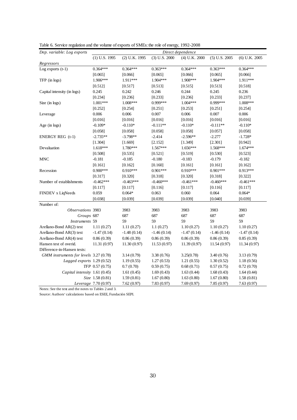| Dep. variable: Log exports             | Direct dependence    |               |                 |                 |                 |                 |
|----------------------------------------|----------------------|---------------|-----------------|-----------------|-----------------|-----------------|
|                                        | $(1)$ U.S. 1995      | (2) U.K. 1995 | $(3)$ U.S. 2000 | $(4)$ U.K. 2000 | $(5)$ U.S. 2005 | $(6)$ U.K. 2005 |
| Regressors                             |                      |               |                 |                 |                 |                 |
| Log exports $(t-1)$                    | $0.364***$           | $0.364***$    | $0.363***$      | $0.364***$      | $0.363***$      | $0.364***$      |
|                                        | [0.065]              | [0.066]       | [0.065]         | [0.066]         | [0.065]         | [0.066]         |
| TFP (in logs)                          | 1.906***             | 1.911***      | 1.904***        | 1.908***        | 1.904***        | 1.911***        |
|                                        | [0.512]              | [0.517]       | [0.513]         | [0.515]         | [0.513]         | [0.518]         |
| Capital intensity (in logs)            | 0.245                | 0.242         | 0.246           | 0.244           | 0.245           | 0.236           |
|                                        | [0.234]              | [0.236]       | [0.233]         | [0.236]         | [0.233]         | [0.237]         |
| Size (in logs)                         | $1.001***$           | 1.008***      | $0.999***$      | $1.004***$      | $0.999***$      | 1.008***        |
|                                        | [0.252]              | [0.254]       | [0.251]         | [0.253]         | [0.251]         | [0.254]         |
| Leverage                               | 0.006                | 0.006         | 0.007           | 0.006           | 0.007           | 0.006           |
|                                        | [0.016]              | [0.016]       | [0.016]         | [0.016]         | [0.016]         | [0.016]         |
| Age (in $\log s$ )                     | $-0.109*$            | $-0.110*$     | $-0.111**$      | $-0.110*$       | $-0.111**$      | $-0.110*$       |
|                                        | [0.058]              | [0.058]       | [0.058]         | [0.058]         | [0.057]         | [0.058]         |
| ENERGY REG (t-1)                       | $-2.735**$           | $-3.798**$    | $-2.414$        | $-2.596**$      | $-2.277$        | $-1.728*$       |
|                                        | [1.304]              | [1.669]       | [2.152]         | [1.349]         | [2.301]         | [0.942]         |
| Devaluation                            | 1.618***             | 1.780***      | $1.567***$      | $1.656***$      | 1.568***        | $1.674***$      |
|                                        | [0.508]              | [0.535]       | [0.521]         | [0.519]         | [0.530]         | [0.523]         |
| <b>MNC</b>                             | $-0.181$             | $-0.185$      | $-0.180$        | $-0.183$        | $-0.179$        | $-0.182$        |
|                                        | [0.161]              | [0.162]       | [0.160]         | [0.161]         | [0.161]         | [0.162]         |
| Recession                              | $0.900***$           | $0.910***$    | $0.901***$      | $0.910***$      | $0.901***$      | 0.913***        |
|                                        | [0.317]              | [0.320]       | [0.318]         | [0.320]         | [0.318]         | [0.322]         |
| Number of establishments               | $-0.462***$          | $-0.463***$   | $-0.460***$     | $-0.461***$     | $-0.460***$     | $-0.461***$     |
|                                        | [0.117]              | [0.117]       | [0.116]         | [0.117]         | [0.116]         | [0.117]         |
| FINDEV x LiqNeeds                      | 0.059                | $0.064*$      | 0.063           | 0.060           | 0.064           | $0.064*$        |
|                                        | [0.038]              | [0.039]       | [0.039]         | [0.039]         | [0.040]         | [0.039]         |
| Number of:                             |                      |               |                 |                 |                 |                 |
| Observations 3983                      |                      | 3983          | 3983            | 3983            | 3983            | 3983            |
| Groups 687                             |                      | 687           | 687             | 687             | 687             | 687             |
| Instruments 59                         |                      | 59            | 59              | 59              | 59              | 59              |
| Arellano-Bond AR(2) test               | 1.11(0.27)           | 1.11(0.27)    | 1.1(0.27)       | 1.10(0.27)      | 1.10(0.27)      | 1.10(0.27)      |
| Arellano-Bond AR(3) test               | $-1.47(0.14)$        | $-1.48(0.14)$ | $-1.46(0.14)$   | $-1.47(0.14)$   | $-1.46(0.14)$   | $-1.47(0.14)$   |
| Arellano-Bond AR(4) test               | 0.86(0.39)           | 0.86(0.39)    | 0.86(0.39)      | 0.86(0.39)      | 0.86(0.39)      | 0.85(0.39)      |
| Hansen test of overid.                 | 11.31(0.97)          | 11.30(0.97)   | 11.53(0.97)     | 11.39(0.97)     | 11.54(0.97)     | 11.34(0.97)     |
| Difference-in-Hansen tests:            |                      |               |                 |                 |                 |                 |
| GMM instruments for levels 3.27 (0.78) |                      | 3.14(0.79)    | 3.38(0.76)      | 3.25(0.78)      | 3.40(0.76)      | 3.13(0.79)      |
| Lagged exports 1.29 (0.52)             |                      | 1.19(0.55)    | 1.27(0.53)      | 1.21(0.55)      | 1.30(0.52)      | 1.18(0.56)      |
|                                        | TFP 0.57 (0.75)      | 0.7(0.70)     | 0.59(0.75)      | 0.68(0.71)      | 0.57(0.75)      | 0.72(0.70)      |
| Capital intensity 1.61 (0.45)          |                      | 1.61(0.45)    | 1.69(0.43)      | 1.63(0.44)      | 1.68(0.43)      | 1.64(0.44)      |
|                                        | Size 1.58 (0.81)     | 1.59(0.81)    | 1.67(0.80)      | 1.63(0.80)      | 1.67(0.80)      | 1.58(0.81)      |
|                                        | Leverage 7.70 (0.97) | 7.62(0.97)    | 7.83(0.97)      | 7.69(0.97)      | 7.85(0.97)      | 7.63(0.97)      |

Table 6. Service regulation and the volume of exports of SMEs: the role of energy, 1992-2008

Notes: See the text and the notes to Tables 2 and 3.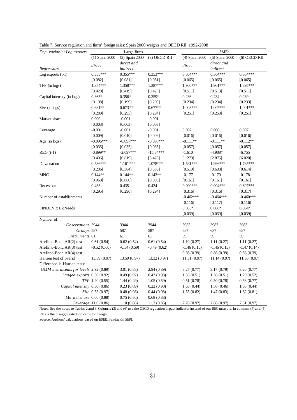| Dep. variable: Log exports                                                                                                                               |                      | Large firms    |               |                | <b>SMEs</b>    |                |
|----------------------------------------------------------------------------------------------------------------------------------------------------------|----------------------|----------------|---------------|----------------|----------------|----------------|
|                                                                                                                                                          | (1) Spain 2000       | (2) Spain 2000 | (3) OECD RII  | (4) Spain 2000 | (5) Spain 2000 | $(6)$ OECD RII |
|                                                                                                                                                          |                      | direct and     |               |                | direct and     |                |
| Regressors                                                                                                                                               | direct               | indirect       |               | direct         | indirect       |                |
| Log exports $(t-1)$                                                                                                                                      | $0.355***$           | $0.355***$     | $0.353***$    | $0.364***$     | $0.364***$     | $0.364***$     |
|                                                                                                                                                          | [0.082]              | [0.081]        | [0.081]       | [0.065]        | [0.065]        | [0.065]        |
| TFP (in logs)                                                                                                                                            | 1.354***             | 1.358***       | 1.387***      | 1.900***       | 1.901***       | 1.895***       |
|                                                                                                                                                          | [0.420]              | [0.419]        | [0.423]       | [0.511]        | [0.513]        | [0.511]        |
| Capital intensity (in logs)                                                                                                                              | $0.365*$             | $0.356*$       | $0.359*$      | 0.236          | 0.234          | 0.239          |
|                                                                                                                                                          | [0.198]              | [0.199]        | [0.200]       | [0.234]        | [0.234]        | [0.233]        |
| Size $(in \text{ logs})$                                                                                                                                 | $0.681**$            | $0.673**$      | $0.677**$     | $1.003***$     | 1.007***       | $1.001***$     |
|                                                                                                                                                          | [0.289]              | [0.295]        | [0.294]       | [0.251]        | [0.253]        | [0.251]        |
| Market share                                                                                                                                             | 0.000                | $-0.001$       | $-0.001$      |                |                |                |
|                                                                                                                                                          | [0.003]              | [0.003]        | [0.003]       |                |                |                |
| Leverage                                                                                                                                                 | $-0.001$             | $-0.001$       | $-0.001$      | 0.007          | 0.006          | 0.007          |
|                                                                                                                                                          | [0.009]              | [0.010]        | [0.009]       | [0.016]        | [0.016]        | [0.016]        |
| Age (in $\log s$ )                                                                                                                                       | $-0.096***$          | $-0.097***$    | $-0.096***$   | $-0.111**$     | $-0.111**$     | $-0.112**$     |
|                                                                                                                                                          | [0.035]              | [0.035]        | [0.035]       | [0.057]        | [0.057]        | [0.057]        |
| $REG(t-1)$                                                                                                                                               | $-0.899**$           | $-2.097***$    | $-15.84***$   | $-1.610$       | $-4.908*$      | $-6.755$       |
|                                                                                                                                                          | [0.406]              | [0.819]        | [5.428]       | [1.279]        | [2.875]        | [6.020]        |
| Devaluation                                                                                                                                              | $0.536***$           | $1.161***$     | 1.078***      | 1.581***       | 1.996***       | 1.785***       |
|                                                                                                                                                          | [0.206]              | [0.384]        | [0.330]       | [0.519]        | [0.633]        | [0.614]        |
| <b>MNC</b>                                                                                                                                               | $0.144**$            | $0.144**$      | $0.142**$     | $-0.177$       | $-0.179$       | $-0.178$       |
|                                                                                                                                                          | [0.060]              | [0.060]        | [0.059]       | [0.161]        | [0.161]        | [0.161]        |
| Recession                                                                                                                                                | 0.433                | 0.435          | 0.424         | $0.900***$     | $0.904***$     | $0.897***$     |
|                                                                                                                                                          | [0.295]              | [0.296]        | [0.294]       | [0.316]        | [0.316]        | [0.317]        |
| Number of establishments                                                                                                                                 |                      |                |               | $-0.462***$    | $-0.464***$    | $-0.460***$    |
|                                                                                                                                                          |                      |                |               | [0.116]        | [0.117]        | [0.116]        |
| FINDEV x LiqNeeds                                                                                                                                        |                      |                |               | $0.063*$       | $0.066*$       | $0.064*$       |
|                                                                                                                                                          |                      |                |               | [0.039]        | [0.039]        | [0.039]        |
| Number of:                                                                                                                                               |                      |                |               |                |                |                |
| Observations 3944                                                                                                                                        |                      | 3944           | 3944          | 3983           | 3983           | 3983           |
| Groups 587                                                                                                                                               |                      | 587            | 587           | 687            | 687            | 687            |
| Instruments 61                                                                                                                                           |                      | 61             | 61            | 59             | 59             | 59             |
| Arellano-Bond AR(2) test                                                                                                                                 | 0.61(0.54)           | 0.62(0.54)     | 0.61(0.54)    | 1.10(0.27)     | 1.11(0.27)     | 1.11(0.27)     |
| Arellano-Bond AR(3) test                                                                                                                                 | $-0.52(0.60)$        | $-0.54(0.59)$  | $-0.49(0.62)$ | $-1.46(0.15)$  | $-1.46(0.15)$  | $-1.47(0.14)$  |
| Arellano-Bond AR(4) test                                                                                                                                 |                      |                |               | 0.86(0.39)     | 0.86(0.39)     | 0.86(0.39)     |
| Hansen test of overid.                                                                                                                                   | 13.39(0.97)          | 13.59(0.97)    | 13.32 (0.97)  | 11.31(0.97)    | 11.14(0.97)    | 11.36(0.97)    |
| Difference-in-Hansen tests:                                                                                                                              |                      |                |               |                |                |                |
| GMM instruments for levels 2.92 (0.89)                                                                                                                   |                      | 3.01(0.88)     | 2.94(0.89)    | 3.27(0.77)     | 3.17(0.79)     | 3.26(0.77)     |
| Lagged exports 0.50 (0.92)                                                                                                                               |                      | 0.49(0.92)     | 0.43(0.93)    | 1.35(0.51)     | 1.36(0.51)     | 1.29(0.52)     |
|                                                                                                                                                          | TFP 1.20 (0.55)      | 1.44(0.49)     | 1.05(0.59)    | 0.51(0.78)     | 0.50(0.78)     | 0.53(0.77)     |
| Capital intensity 0.30 (0.86)                                                                                                                            |                      | 0.23(0.89)     | 0.22(0.90)    | 1.63(0.44)     | 1.58(0.46)     | 1.65(0.44)     |
|                                                                                                                                                          | Size 0.53 (0.97)     | 0.48(0.98)     | 0.44(0.98)    | 1.55(0.82)     | 1.47(0.83)     | 1.62(0.81)     |
| Market share 0.66 (0.88)                                                                                                                                 |                      | 0.75(0.86)     | 0.68(0.88)    |                |                |                |
|                                                                                                                                                          | Leverage 11.0 (0.86) | 11.0(0.86)     | 11.2(0.85)    | 7.76(0.97)     | 7.66(0.97)     | 7.81(0.97)     |
| Notes: See the notes to Tables 2 and 3. Columns (3) and (6) use the OECD regulation impact indicator instead of our REG measure. In columns (4) and (5), |                      |                |               |                |                |                |

Table 7. Service regulation and firms' foreign sales: Spain 2000 weights and OECD RII, 1992-2008

REG is the disaggregated indicator for energy.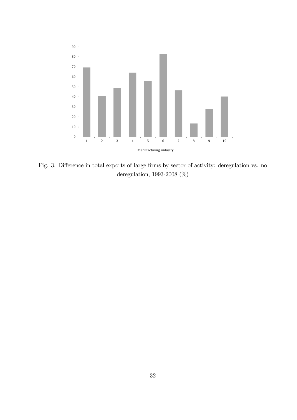

Fig. 3. Difference in total exports of large firms by sector of activity: deregulation vs. no deregulation, 1993-2008 (%)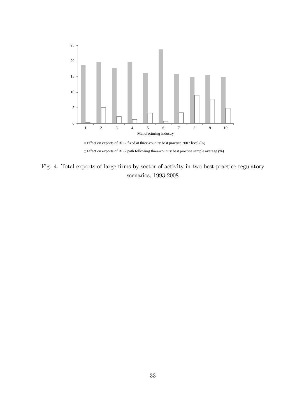

 $\Box$ <br> <br> Effect on exports of REG path following three-country best practice sample average<br>  $(\%)$ 

Fig. 4. Total exports of large firms by sector of activity in two best-practice regulatory scenarios, 1993-2008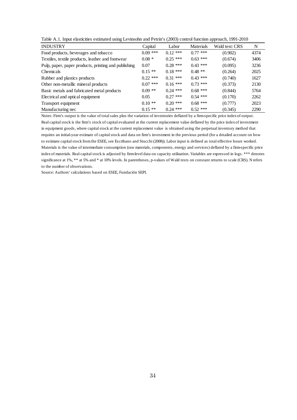Table A.1. Input elasticities estimated using Levinsohn and Petrin's (2003) control function approach, 1991-2010

| <b>INDUSTRY</b>                                      | Capital    | Labor      | Materials  | Wald test: CRS | N    |
|------------------------------------------------------|------------|------------|------------|----------------|------|
| Food products, beverages and tobacco                 | $0.09$ *** | $0.12$ *** | $0.77$ *** | (0.902)        | 4374 |
| Textiles, textile products, leather and footwear     | $0.08 *$   | $0.25$ *** | $0.63$ *** | (0.674)        | 3406 |
| Pulp, paper, paper products, printing and publishing | 0.07       | $0.28$ *** | $0.43$ *** | (0.095)        | 3236 |
| Chemicals                                            | $0.15**$   | $0.18***$  | $0.48$ **  | (0.264)        | 2025 |
| Rubber and plastics products                         | $0.22$ *** | $0.31***$  | $0.43$ *** | (0.740)        | 1627 |
| Other non-metallic mineral products                  | $0.07$ *** | $0.16***$  | $0.73$ *** | (0.373)        | 2130 |
| Basic metals and fabricated metal products           | $0.09$ **  | $0.24$ *** | $0.68$ *** | (0.844)        | 5764 |
| Electrical and optical equipment                     | 0.05       | $0.27$ *** | $0.54$ *** | (0.170)        | 2262 |
| Transport equipment                                  | $0.10**$   | $0.20$ *** | $0.68$ *** | (0.777)        | 2023 |
| Manufacturing nec                                    | $0.15**$   | $0.24$ *** | $0.52$ *** | (0.345)        | 2290 |

Notes: Firm's output is the value of total sales plus the variation of inventories deflated by a firm-specific price index of output. Real capital stock is the firm's stock of capital evaluated at the current replacement value deflated by the price index of investment in equipment goods, where capital stock at the current replacement value is obtained using the perpetual inventory method that requires an initial-year estimate of capital stock and data on firm's investment in the previous period (for a detailed account on how to estimate capital stock from the ESEE, see Escribano and Stucchi (2008)). Labor input is defined as total effective hours worked. Materials is the value of intermediate consumption (raw materials, components, energy and services) deflated by a firm-specific price index of materials. Real capital stock is adjusted by firm-level data on capacity utilization. Variables are expressed in logs. \*\*\* denotes significance at 1%, \*\* at 5% and \* at 10% levels. In parentheses, p-values of Wald tests on constant returns to scale (CRS). N refers to the number of observations.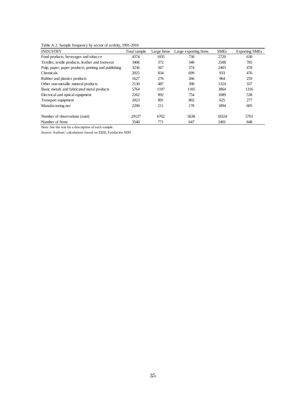Table A.2. Sample frequency by sector of activity, 1991-2010

| <b>INDUSTRY</b>                                      | Total sample | Large firms | Large exporting firms | <b>SMEs</b> | <b>Exporting SMEs</b> |
|------------------------------------------------------|--------------|-------------|-----------------------|-------------|-----------------------|
| Food products, beverages and tobacco                 | 4374         | 1035        | 730                   | 2720        | 630                   |
| Textiles, textile products, leather and footwear     | 3406         | 372         | 340                   | 2508        | 785                   |
| Pulp, paper, paper products, printing and publishing | 3236         | 567         | 374                   | 2403        | 478                   |
| <b>Chemicals</b>                                     | 2025         | 834         | 699                   | 933         | 476                   |
| Rubber and plastics products                         | 1627         | 276         | 266                   | 964         | 259                   |
| Other non-metallic mineral products                  | 2130         | 487         | 390                   | 1324        | 337                   |
| Basic metals and fabricated metal products           | 5764         | 1197        | 1105                  | 3864        | 1316                  |
| Electrical and optical equipment                     | 2262         | 892         | 754                   | 1089        | 538                   |
| Transport equipment                                  | 2023         | 891         | 802                   | 625         | 277                   |
| Manufacturing nec                                    | 2290         | 211         | 178                   | 1894        | 605                   |
| Number of observations (sum)                         | 29137        | 6762        | 5638                  | 18324       | 5701                  |
| Number of firms                                      | 3540         | 771         | 647                   | 2401        | 848                   |

Note: See the text for a description of each sample.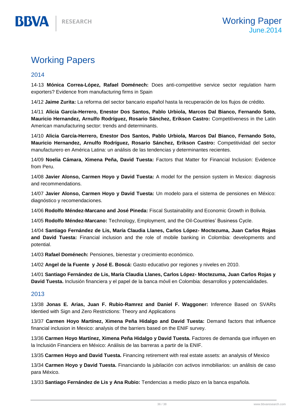# Working Papers

# 2014

**BBVA** 

14-13 **Mónica Correa-López, Rafael Doménech:** Does anti-competitive service sector regulation harm exporters? Evidence from manufacturing firms in Spain

14/12 **Jaime Zurita:** La reforma del sector bancario español hasta la recuperación de los flujos de crédito.

14/11 **Alicia García-Herrero, Enestor Dos Santos, Pablo Urbiola, Marcos Dal Bianco, Fernando Soto, Mauricio Hernandez, Arnulfo Rodríguez, Rosario Sánchez, Erikson Castro:** Competitiveness in the Latin American manufacturing sector: trends and determinants.

14/10 **Alicia García-Herrero, Enestor Dos Santos, Pablo Urbiola, Marcos Dal Bianco, Fernando Soto, Mauricio Hernandez, Arnulfo Rodríguez, Rosario Sánchez, Erikson Castro:** Competitividad del sector manufacturero en América Latina: un análisis de las tendencias y determinantes recientes.

14/09 **Noelia Cámara, Ximena Peña, David Tuesta:** Factors that Matter for Financial Inclusion: Evidence from Peru.

14/08 **Javier Alonso, Carmen Hoyo y David Tuesta:** A model for the pension system in Mexico: diagnosis and recommendations.

14/07 **Javier Alonso, Carmen Hoyo y David Tuesta:** Un modelo para el sistema de pensiones en México: diagnóstico y recomendaciones.

14/06 **Rodolfo Méndez-Marcano and José Pineda:** Fiscal Sustainability and Economic Growth in Bolivia.

14/05 **Rodolfo Méndez-Marcano:** Technology, Employment, and the Oil-Countries' Business Cycle.

14/04 **Santiago Fernández de Lis, María Claudia Llanes, Carlos López- Moctezuma, Juan Carlos Rojas and David Tuesta:** Financial inclusion and the role of mobile banking in Colombia: developments and potential.

14/03 **Rafael Doménech:** Pensiones, bienestar y crecimiento económico.

14/02 **Angel de la Fuente y José E. Boscá:** Gasto educativo por regiones y niveles en 2010.

14/01 **Santiago Fernández de Lis, María Claudia Llanes, Carlos López- Moctezuma, Juan Carlos Rojas y David Tuesta.** Inclusión financiera y el papel de la banca móvil en Colombia: desarrollos y potencialidades.

# 2013

13/38 **Jonas E. Arias, Juan F. Rubio-Ramrez and Daniel F. Waggoner:** Inference Based on SVARs Identied with Sign and Zero Restrictions: Theory and Applications

13/37 **Carmen Hoyo Martínez, Ximena Peña Hidalgo and David Tuesta:** Demand factors that influence financial inclusion in Mexico: analysis of the barriers based on the ENIF survey.

13/36 **Carmen Hoyo Martínez, Ximena Peña Hidalgo y David Tuesta.** Factores de demanda que influyen en la Inclusión Financiera en México: Análisis de las barreras a partir de la ENIF.

13/35 **Carmen Hoyo and David Tuesta.** Financing retirement with real estate assets: an analysis of Mexico

13/34 **Carmen Hoyo y David Tuesta.** Financiando la jubilación con activos inmobiliarios: un análisis de caso para México.

13/33 **Santiago Fernández de Lis y Ana Rubio:** Tendencias a medio plazo en la banca española.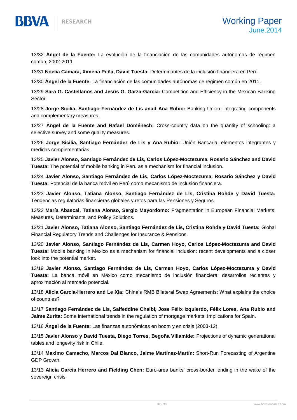

BBVA

13/32 **Ángel de la Fuente:** La evolución de la financiación de las comunidades autónomas de régimen común, 2002-2011.

13/31 **Noelia Cámara, Ximena Peña, David Tuesta:** Determinantes de la inclusión financiera en Perú.

13/30 **Ángel de la Fuente:** La financiación de las comunidades autónomas de régimen común en 2011.

13/29 **Sara G. Castellanos and Jesús G. Garza-García:** Competition and Efficiency in the Mexican Banking Sector.

13/28 **Jorge Sicilia, Santiago Fernández de Lis anad Ana Rubio:** Banking Union: integrating components and complementary measures.

13/27 **Ángel de la Fuente and Rafael Doménech:** Cross-country data on the quantity of schooling: a selective survey and some quality measures.

13/26 **Jorge Sicilia, Santiago Fernández de Lis y Ana Rubio:** Unión Bancaria: elementos integrantes y medidas complementarias.

13/25 **Javier Alonso, Santiago Fernández de Lis, Carlos López-Moctezuma, Rosario Sánchez and David Tuesta:** The potential of mobile banking in Peru as a mechanism for financial inclusion.

13/24 **Javier Alonso, Santiago Fernández de Lis, Carlos López-Moctezuma, Rosario Sánchez y David Tuesta:** Potencial de la banca móvil en Perú como mecanismo de inclusión financiera.

13/23 **Javier Alonso, Tatiana Alonso, Santiago Fernández de Lis, Cristina Rohde y David Tuesta:** Tendencias regulatorias financieras globales y retos para las Pensiones y Seguros.

13/22 **María Abascal, Tatiana Alonso, Sergio Mayordomo:** Fragmentation in European Financial Markets: Measures, Determinants, and Policy Solutions.

13/21 **Javier Alonso, Tatiana Alonso, Santiago Fernández de Lis, Cristina Rohde y David Tuesta:** Global Financial Regulatory Trends and Challenges for Insurance & Pensions.

13/20 **Javier Alonso, Santiago Fernández de Lis, Carmen Hoyo, Carlos López-Moctezuma and David Tuesta:** Mobile banking in Mexico as a mechanism for financial inclusion: recent developments and a closer look into the potential market.

13/19 **Javier Alonso, Santiago Fernández de Lis, Carmen Hoyo, Carlos López-Moctezuma y David Tuesta:** La banca móvil en México como mecanismo de inclusión financiera: desarrollos recientes y aproximación al mercado potencial.

13/18 **Alicia Garcia-Herrero and Le Xia:** China's RMB Bilateral Swap Agreements: What explains the choice of countries?

13/17 **Santiago Fernández de Lis, Saifeddine Chaibi, Jose Félix Izquierdo, Félix Lores, Ana Rubio and Jaime Zurita:** Some international trends in the regulation of mortgage markets: Implications for Spain.

13/16 **Ángel de la Fuente:** Las finanzas autonómicas en boom y en crisis (2003-12).

13/15 **Javier Alonso y David Tuesta, Diego Torres, Begoña Villamide:** Projections of dynamic generational tables and longevity risk in Chile.

13/14 **Maximo Camacho, Marcos Dal Bianco, Jaime Martínez-Martín:** Short-Run Forecasting of Argentine GDP Growth.

13/13 **Alicia Garcia Herrero and Fielding Chen:** Euro-area banks' cross-border lending in the wake of the sovereign crisis.